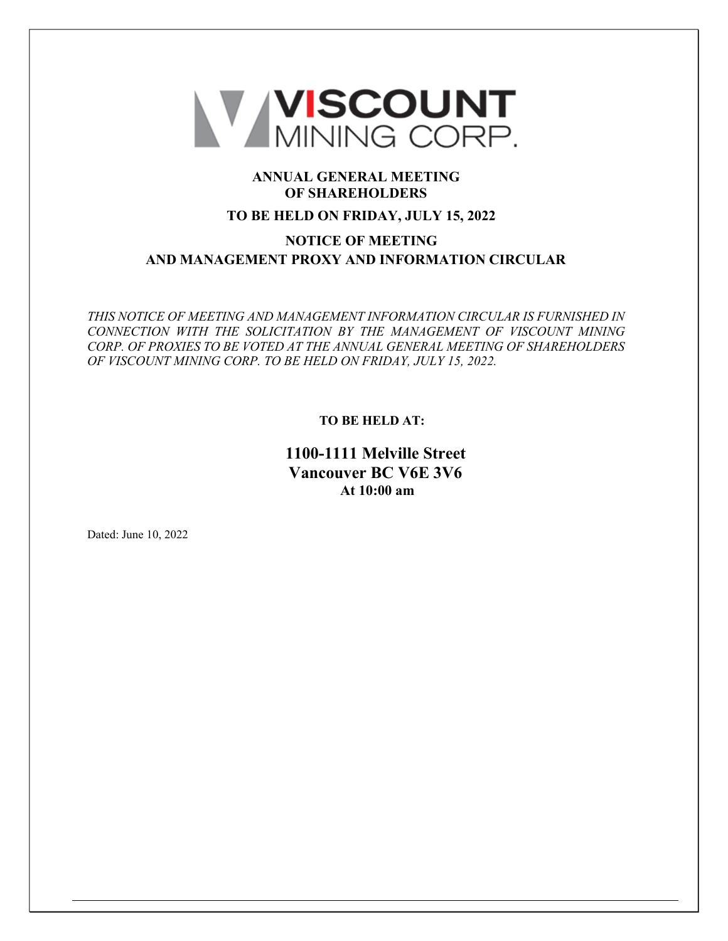

# **ANNUAL GENERAL MEETING OF SHAREHOLDERS**

# **TO BE HELD ON FRIDAY, JULY 15, 2022**

# **NOTICE OF MEETING AND MANAGEMENT PROXY AND INFORMATION CIRCULAR**

*THIS NOTICE OF MEETING AND MANAGEMENT INFORMATION CIRCULAR IS FURNISHED IN CONNECTION WITH THE SOLICITATION BY THE MANAGEMENT OF VISCOUNT MINING CORP. OF PROXIES TO BE VOTED AT THE ANNUAL GENERAL MEETING OF SHAREHOLDERS OF VISCOUNT MINING CORP. TO BE HELD ON FRIDAY, JULY 15, 2022.*

**TO BE HELD AT:**

**1100-1111 Melville Street Vancouver BC V6E 3V6 At 10:00 am**

Dated: June 10, 2022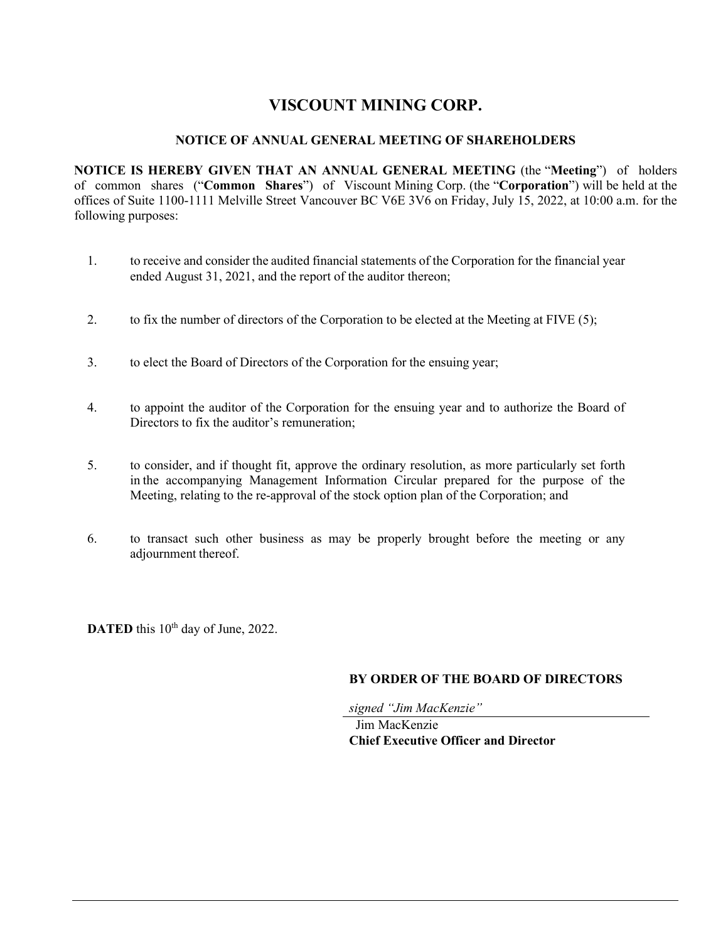# **VISCOUNT MINING CORP.**

# **NOTICE OF ANNUAL GENERAL MEETING OF SHAREHOLDERS**

**NOTICE IS HEREBY GIVEN THAT AN ANNUAL GENERAL MEETING** (the "**Meeting**") of holders of common shares ("**Common Shares**") of Viscount Mining Corp. (the "**Corporation**") will be held at the offices of Suite 1100-1111 Melville Street Vancouver BC V6E 3V6 on Friday, July 15, 2022, at 10:00 a.m. for the following purposes:

- 1. to receive and consider the audited financial statements of the Corporation for the financial year ended August 31, 2021, and the report of the auditor thereon;
- 2. to fix the number of directors of the Corporation to be elected at the Meeting at FIVE (5);
- 3. to elect the Board of Directors of the Corporation for the ensuing year;
- 4. to appoint the auditor of the Corporation for the ensuing year and to authorize the Board of Directors to fix the auditor's remuneration;
- 5. to consider, and if thought fit, approve the ordinary resolution, as more particularly set forth in the accompanying Management Information Circular prepared for the purpose of the Meeting, relating to the re-approval of the stock option plan of the Corporation; and
- 6. to transact such other business as may be properly brought before the meeting or any adjournment thereof.

**DATED** this 10<sup>th</sup> day of June, 2022.

# **BY ORDER OF THE BOARD OF DIRECTORS**

*signed "Jim MacKenzie"* 

Jim MacKenzie **Chief Executive Officer and Director**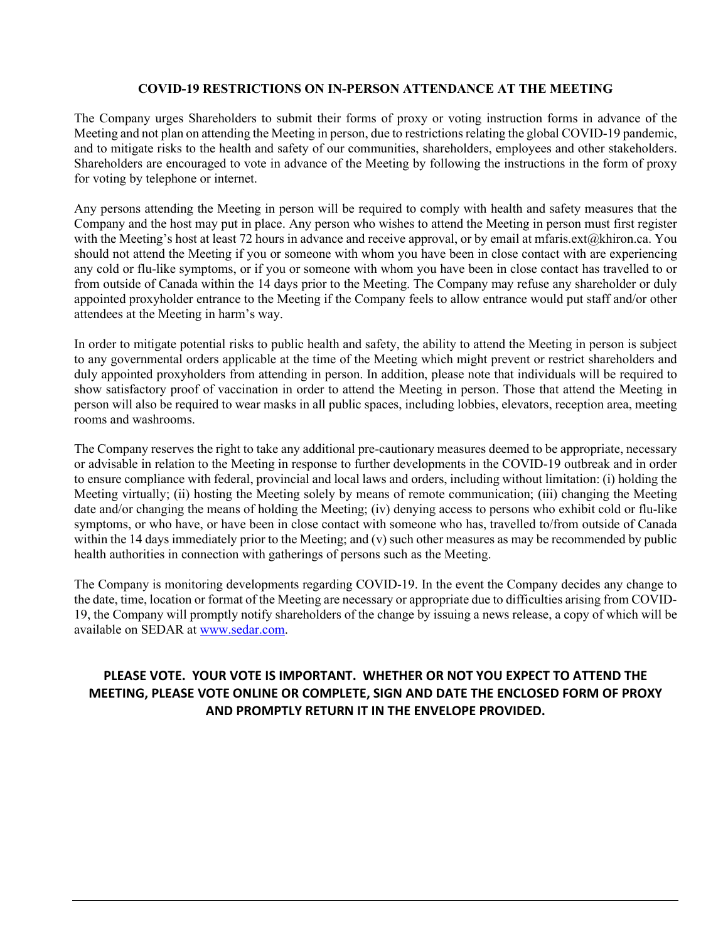# **COVID-19 RESTRICTIONS ON IN-PERSON ATTENDANCE AT THE MEETING**

The Company urges Shareholders to submit their forms of proxy or voting instruction forms in advance of the Meeting and not plan on attending the Meeting in person, due to restrictions relating the global COVID-19 pandemic, and to mitigate risks to the health and safety of our communities, shareholders, employees and other stakeholders. Shareholders are encouraged to vote in advance of the Meeting by following the instructions in the form of proxy for voting by telephone or internet.

Any persons attending the Meeting in person will be required to comply with health and safety measures that the Company and the host may put in place. Any person who wishes to attend the Meeting in person must first register with the Meeting's host at least 72 hours in advance and receive approval, or by email at mfaris.ext@khiron.ca. You should not attend the Meeting if you or someone with whom you have been in close contact with are experiencing any cold or flu-like symptoms, or if you or someone with whom you have been in close contact has travelled to or from outside of Canada within the 14 days prior to the Meeting. The Company may refuse any shareholder or duly appointed proxyholder entrance to the Meeting if the Company feels to allow entrance would put staff and/or other attendees at the Meeting in harm's way.

In order to mitigate potential risks to public health and safety, the ability to attend the Meeting in person is subject to any governmental orders applicable at the time of the Meeting which might prevent or restrict shareholders and duly appointed proxyholders from attending in person. In addition, please note that individuals will be required to show satisfactory proof of vaccination in order to attend the Meeting in person. Those that attend the Meeting in person will also be required to wear masks in all public spaces, including lobbies, elevators, reception area, meeting rooms and washrooms.

The Company reserves the right to take any additional pre-cautionary measures deemed to be appropriate, necessary or advisable in relation to the Meeting in response to further developments in the COVID-19 outbreak and in order to ensure compliance with federal, provincial and local laws and orders, including without limitation: (i) holding the Meeting virtually; (ii) hosting the Meeting solely by means of remote communication; (iii) changing the Meeting date and/or changing the means of holding the Meeting; (iv) denying access to persons who exhibit cold or flu-like symptoms, or who have, or have been in close contact with someone who has, travelled to/from outside of Canada within the 14 days immediately prior to the Meeting; and (v) such other measures as may be recommended by public health authorities in connection with gatherings of persons such as the Meeting.

The Company is monitoring developments regarding COVID-19. In the event the Company decides any change to the date, time, location or format of the Meeting are necessary or appropriate due to difficulties arising from COVID-19, the Company will promptly notify shareholders of the change by issuing a news release, a copy of which will be available on SEDAR at [www.sedar.com.](https://nam02.safelinks.protection.outlook.com/?url=http%3A%2F%2Fwww.sedar.com%2F&data=05%7C01%7Cmfaris.ext%40khiron.ca%7C7d5510ee6ed34b3bcd2d08da3a71ddba%7C8c90ff9b6c994dc2a6a8f60f209ffe66%7C0%7C0%7C637886557988797213%7CUnknown%7CTWFpbGZsb3d8eyJWIjoiMC4wLjAwMDAiLCJQIjoiV2luMzIiLCJBTiI6Ik1haWwiLCJXVCI6Mn0%3D%7C3000%7C%7C%7C&sdata=BNcmN2HgtJphwpPj9wr%2FXy%2BdS1syREgKjyoKGhZfaGI%3D&reserved=0)

# **PLEASE VOTE. YOUR VOTE IS IMPORTANT. WHETHER OR NOT YOU EXPECT TO ATTEND THE MEETING, PLEASE VOTE ONLINE OR COMPLETE, SIGN AND DATE THE ENCLOSED FORM OF PROXY AND PROMPTLY RETURN IT IN THE ENVELOPE PROVIDED.**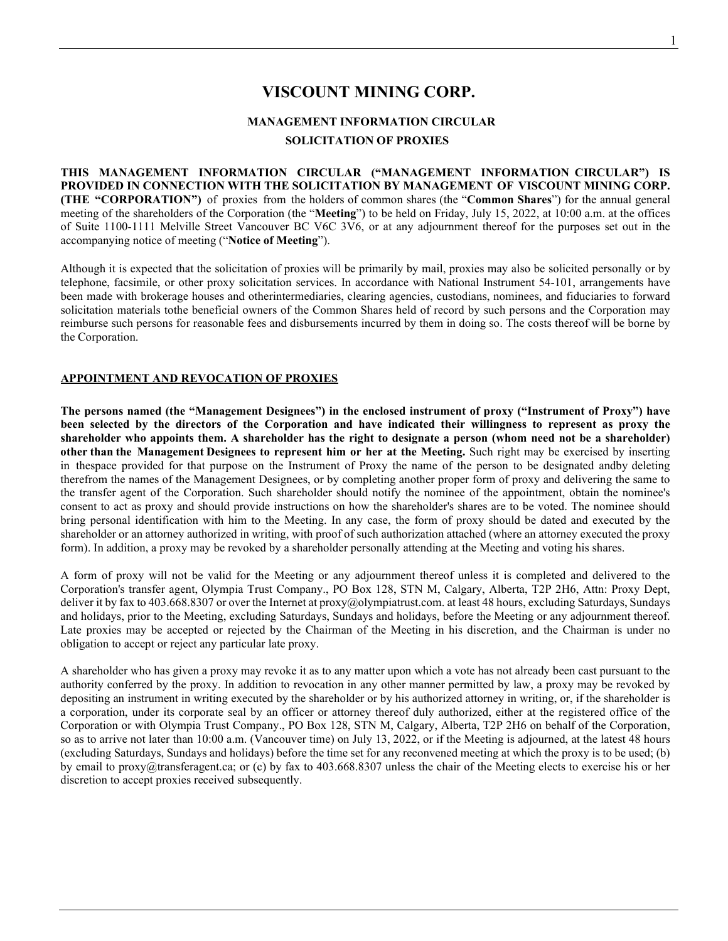# **VISCOUNT MINING CORP.**

# **MANAGEMENT INFORMATION CIRCULAR SOLICITATION OF PROXIES**

**THIS MANAGEMENT INFORMATION CIRCULAR ("MANAGEMENT INFORMATION CIRCULAR") IS PROVIDED IN CONNECTION WITH THE SOLICITATION BY MANAGEMENT OF VISCOUNT MINING CORP. (THE "CORPORATION")** of proxies from the holders of common shares (the "**Common Shares**") for the annual general meeting of the shareholders of the Corporation (the "**Meeting**") to be held on Friday, July 15, 2022, at 10:00 a.m. at the offices of Suite 1100-1111 Melville Street Vancouver BC V6C 3V6, or at any adjournment thereof for the purposes set out in the accompanying notice of meeting ("**Notice of Meeting**").

Although it is expected that the solicitation of proxies will be primarily by mail, proxies may also be solicited personally or by telephone, facsimile, or other proxy solicitation services. In accordance with National Instrument 54-101, arrangements have been made with brokerage houses and otherintermediaries, clearing agencies, custodians, nominees, and fiduciaries to forward solicitation materials tothe beneficial owners of the Common Shares held of record by such persons and the Corporation may reimburse such persons for reasonable fees and disbursements incurred by them in doing so. The costs thereof will be borne by the Corporation.

# **APPOINTMENT AND REVOCATION OF PROXIES**

**The persons named (the "Management Designees") in the enclosed instrument of proxy ("Instrument of Proxy") have been selected by the directors of the Corporation and have indicated their willingness to represent as proxy the shareholder who appoints them. A shareholder has the right to designate a person (whom need not be a shareholder) other than the Management Designees to represent him or her at the Meeting.** Such right may be exercised by inserting in thespace provided for that purpose on the Instrument of Proxy the name of the person to be designated andby deleting therefrom the names of the Management Designees, or by completing another proper form of proxy and delivering the same to the transfer agent of the Corporation. Such shareholder should notify the nominee of the appointment, obtain the nominee's consent to act as proxy and should provide instructions on how the shareholder's shares are to be voted. The nominee should bring personal identification with him to the Meeting. In any case, the form of proxy should be dated and executed by the shareholder or an attorney authorized in writing, with proof of such authorization attached (where an attorney executed the proxy form). In addition, a proxy may be revoked by a shareholder personally attending at the Meeting and voting his shares.

A form of proxy will not be valid for the Meeting or any adjournment thereof unless it is completed and delivered to the Corporation's transfer agent, Olympia Trust Company., PO Box 128, STN M, Calgary, Alberta, T2P 2H6, Attn: Proxy Dept, deliver it by fax to 403.668.8307 or over the Internet at [proxy@olympiatrust.com.](mailto:proxy@olympiatrust.com) at least 48 hours, excluding Saturdays, Sundays and holidays, prior to the Meeting, excluding Saturdays, Sundays and holidays, before the Meeting or any adjournment thereof. Late proxies may be accepted or rejected by the Chairman of the Meeting in his discretion, and the Chairman is under no obligation to accept or reject any particular late proxy.

A shareholder who has given a proxy may revoke it as to any matter upon which a vote has not already been cast pursuant to the authority conferred by the proxy. In addition to revocation in any other manner permitted by law, a proxy may be revoked by depositing an instrument in writing executed by the shareholder or by his authorized attorney in writing, or, if the shareholder is a corporation, under its corporate seal by an officer or attorney thereof duly authorized, either at the registered office of the Corporation or with Olympia Trust Company., PO Box 128, STN M, Calgary, Alberta, T2P 2H6 on behalf of the Corporation, so as to arrive not later than 10:00 a.m. (Vancouver time) on July 13, 2022, or if the Meeting is adjourned, at the latest 48 hours (excluding Saturdays, Sundays and holidays) before the time set for any reconvened meeting at which the proxy is to be used; (b) by email to proxy@transferagent.ca; or (c) by fax to 403.668.8307 unless the chair of the Meeting elects to exercise his or her discretion to accept proxies received subsequently.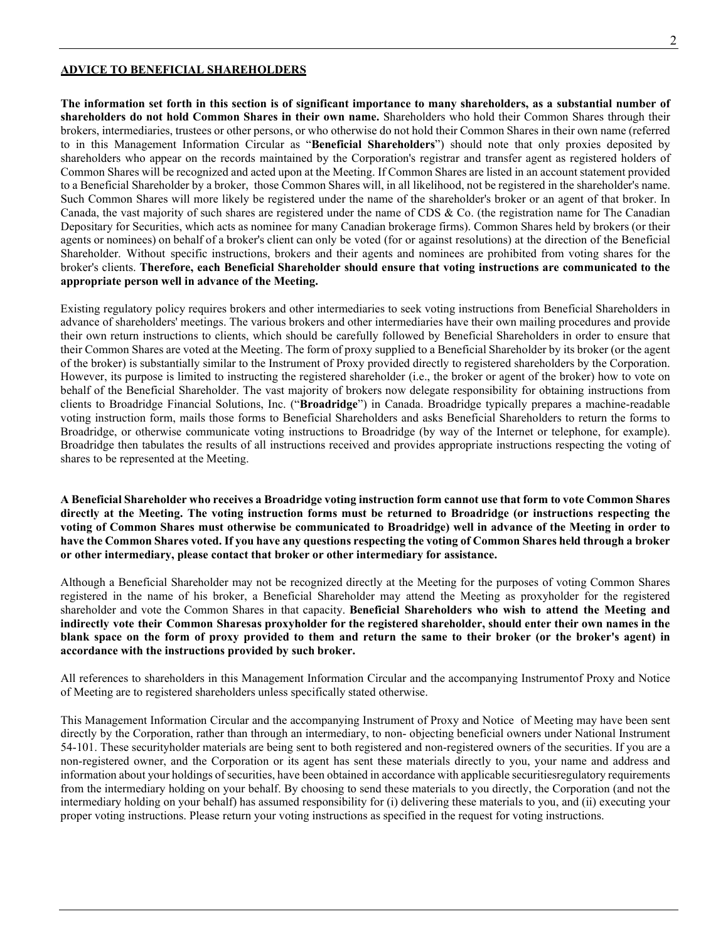#### **ADVICE TO BENEFICIAL SHAREHOLDERS**

**The information set forth in this section is of significant importance to many shareholders, as a substantial number of shareholders do not hold Common Shares in their own name.** Shareholders who hold their Common Shares through their brokers, intermediaries, trustees or other persons, or who otherwise do not hold their Common Shares in their own name (referred to in this Management Information Circular as "**Beneficial Shareholders**") should note that only proxies deposited by shareholders who appear on the records maintained by the Corporation's registrar and transfer agent as registered holders of Common Shares will be recognized and acted upon at the Meeting. If Common Shares are listed in an account statement provided to a Beneficial Shareholder by a broker, those Common Shares will, in all likelihood, not be registered in the shareholder's name. Such Common Shares will more likely be registered under the name of the shareholder's broker or an agent of that broker. In Canada, the vast majority of such shares are registered under the name of CDS & Co. (the registration name for The Canadian Depositary for Securities, which acts as nominee for many Canadian brokerage firms). Common Shares held by brokers (or their agents or nominees) on behalf of a broker's client can only be voted (for or against resolutions) at the direction of the Beneficial Shareholder. Without specific instructions, brokers and their agents and nominees are prohibited from voting shares for the broker's clients. **Therefore, each Beneficial Shareholder should ensure that voting instructions are communicated to the appropriate person well in advance of the Meeting.**

Existing regulatory policy requires brokers and other intermediaries to seek voting instructions from Beneficial Shareholders in advance of shareholders' meetings. The various brokers and other intermediaries have their own mailing procedures and provide their own return instructions to clients, which should be carefully followed by Beneficial Shareholders in order to ensure that their Common Shares are voted at the Meeting. The form of proxy supplied to a Beneficial Shareholder by its broker (or the agent of the broker) is substantially similar to the Instrument of Proxy provided directly to registered shareholders by the Corporation. However, its purpose is limited to instructing the registered shareholder (i.e., the broker or agent of the broker) how to vote on behalf of the Beneficial Shareholder. The vast majority of brokers now delegate responsibility for obtaining instructions from clients to Broadridge Financial Solutions, Inc. ("**Broadridge**") in Canada. Broadridge typically prepares a machine-readable voting instruction form, mails those forms to Beneficial Shareholders and asks Beneficial Shareholders to return the forms to Broadridge, or otherwise communicate voting instructions to Broadridge (by way of the Internet or telephone, for example). Broadridge then tabulates the results of all instructions received and provides appropriate instructions respecting the voting of shares to be represented at the Meeting.

**A Beneficial Shareholder who receives a Broadridge voting instruction form cannot use that form to vote Common Shares directly at the Meeting. The voting instruction forms must be returned to Broadridge (or instructions respecting the voting of Common Shares must otherwise be communicated to Broadridge) well in advance of the Meeting in order to have the Common Shares voted. If you have any questions respecting the voting of Common Shares held through a broker or other intermediary, please contact that broker or other intermediary for assistance.**

Although a Beneficial Shareholder may not be recognized directly at the Meeting for the purposes of voting Common Shares registered in the name of his broker, a Beneficial Shareholder may attend the Meeting as proxyholder for the registered shareholder and vote the Common Shares in that capacity. **Beneficial Shareholders who wish to attend the Meeting and indirectly vote their Common Sharesas proxyholder for the registered shareholder, should enter their own names in the blank space on the form of proxy provided to them and return the same to their broker (or the broker's agent) in accordance with the instructions provided by such broker.**

All references to shareholders in this Management Information Circular and the accompanying Instrumentof Proxy and Notice of Meeting are to registered shareholders unless specifically stated otherwise.

This Management Information Circular and the accompanying Instrument of Proxy and Notice of Meeting may have been sent directly by the Corporation, rather than through an intermediary, to non- objecting beneficial owners under National Instrument 54-101. These securityholder materials are being sent to both registered and non-registered owners of the securities. If you are a non-registered owner, and the Corporation or its agent has sent these materials directly to you, your name and address and information about your holdings of securities, have been obtained in accordance with applicable securitiesregulatory requirements from the intermediary holding on your behalf. By choosing to send these materials to you directly, the Corporation (and not the intermediary holding on your behalf) has assumed responsibility for (i) delivering these materials to you, and (ii) executing your proper voting instructions. Please return your voting instructions as specified in the request for voting instructions.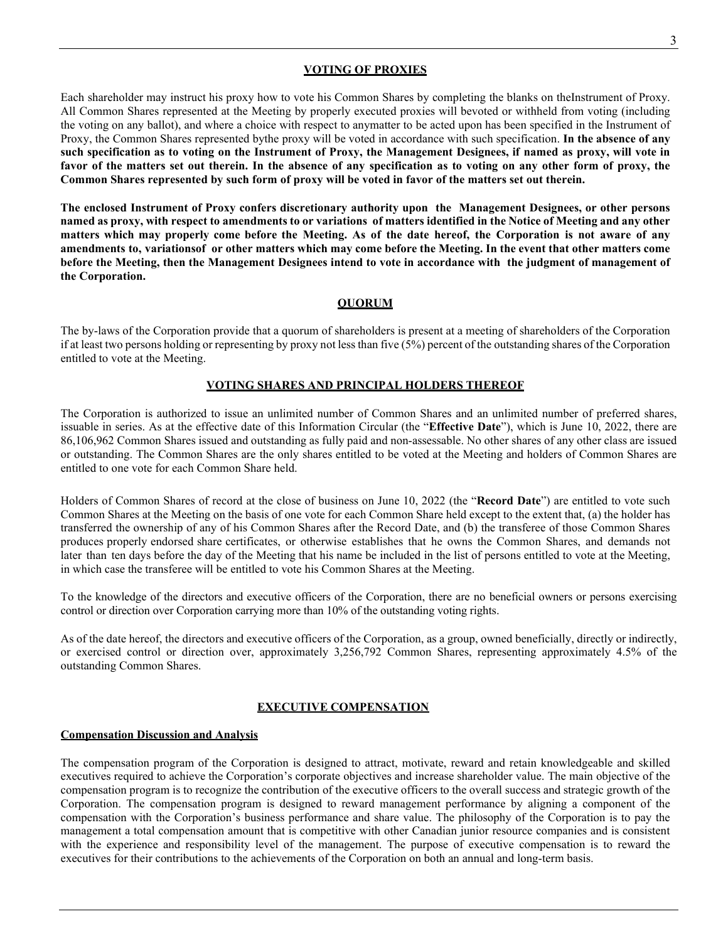#### **VOTING OF PROXIES**

Each shareholder may instruct his proxy how to vote his Common Shares by completing the blanks on theInstrument of Proxy. All Common Shares represented at the Meeting by properly executed proxies will bevoted or withheld from voting (including the voting on any ballot), and where a choice with respect to anymatter to be acted upon has been specified in the Instrument of Proxy, the Common Shares represented bythe proxy will be voted in accordance with such specification. **In the absence of any**  such specification as to voting on the Instrument of Proxy, the Management Designees, if named as proxy, will vote in **favor of the matters set out therein. In the absence of any specification as to voting on any other form of proxy, the Common Shares represented by such form of proxy will be voted in favor of the matters set out therein.**

**The enclosed Instrument of Proxy confers discretionary authority upon the Management Designees, or other persons named as proxy, with respect to amendments to or variations of matters identified in the Notice of Meeting and any other matters which may properly come before the Meeting. As of the date hereof, the Corporation is not aware of any amendments to, variationsof or other matters which may come before the Meeting. In the event that other matters come** before the Meeting, then the Management Designees intend to vote in accordance with the judgment of management of **the Corporation.**

# **QUORUM**

The by-laws of the Corporation provide that a quorum of shareholders is present at a meeting of shareholders of the Corporation if at least two persons holding or representing by proxy not less than five (5%) percent of the outstanding shares of the Corporation entitled to vote at the Meeting.

# **VOTING SHARES AND PRINCIPAL HOLDERS THEREOF**

The Corporation is authorized to issue an unlimited number of Common Shares and an unlimited number of preferred shares, issuable in series. As at the effective date of this Information Circular (the "**Effective Date**"), which is June 10, 2022, there are 86,106,962 Common Shares issued and outstanding as fully paid and non-assessable. No other shares of any other class are issued or outstanding. The Common Shares are the only shares entitled to be voted at the Meeting and holders of Common Shares are entitled to one vote for each Common Share held.

Holders of Common Shares of record at the close of business on June 10, 2022 (the "**Record Date**") are entitled to vote such Common Shares at the Meeting on the basis of one vote for each Common Share held except to the extent that, (a) the holder has transferred the ownership of any of his Common Shares after the Record Date, and (b) the transferee of those Common Shares produces properly endorsed share certificates, or otherwise establishes that he owns the Common Shares, and demands not later than ten days before the day of the Meeting that his name be included in the list of persons entitled to vote at the Meeting, in which case the transferee will be entitled to vote his Common Shares at the Meeting.

To the knowledge of the directors and executive officers of the Corporation, there are no beneficial owners or persons exercising control or direction over Corporation carrying more than 10% of the outstanding voting rights.

As of the date hereof, the directors and executive officers of the Corporation, as a group, owned beneficially, directly or indirectly, or exercised control or direction over, approximately 3,256,792 Common Shares, representing approximately 4.5% of the outstanding Common Shares.

#### **EXECUTIVE COMPENSATION**

#### **Compensation Discussion and Analysis**

The compensation program of the Corporation is designed to attract, motivate, reward and retain knowledgeable and skilled executives required to achieve the Corporation's corporate objectives and increase shareholder value. The main objective of the compensation program is to recognize the contribution of the executive officers to the overall success and strategic growth of the Corporation. The compensation program is designed to reward management performance by aligning a component of the compensation with the Corporation's business performance and share value. The philosophy of the Corporation is to pay the management a total compensation amount that is competitive with other Canadian junior resource companies and is consistent with the experience and responsibility level of the management. The purpose of executive compensation is to reward the executives for their contributions to the achievements of the Corporation on both an annual and long-term basis.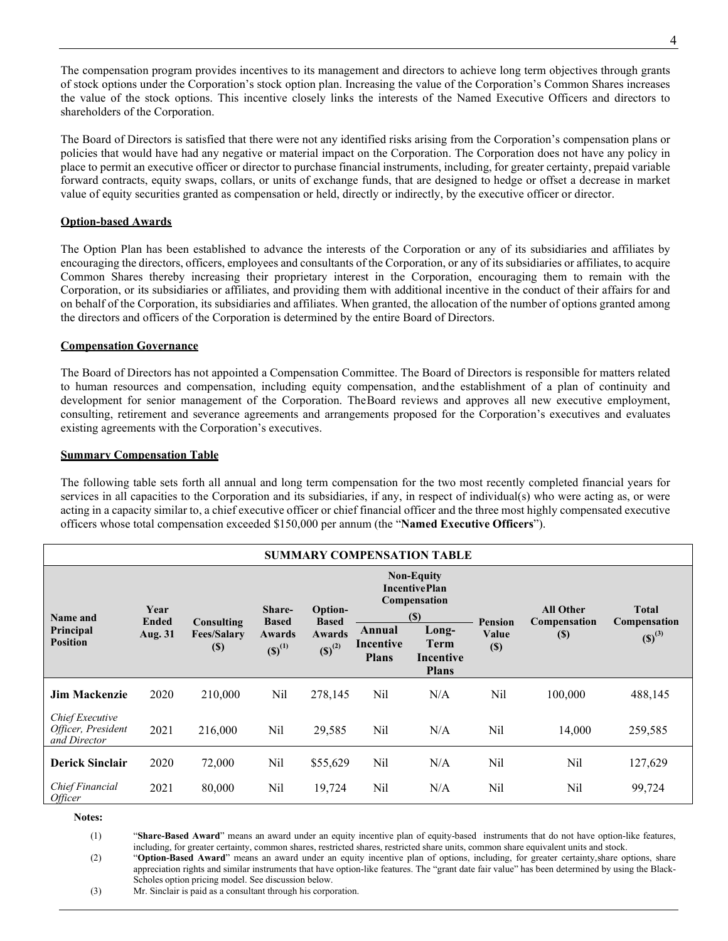The compensation program provides incentives to its management and directors to achieve long term objectives through grants of stock options under the Corporation's stock option plan. Increasing the value of the Corporation's Common Shares increases the value of the stock options. This incentive closely links the interests of the Named Executive Officers and directors to shareholders of the Corporation.

The Board of Directors is satisfied that there were not any identified risks arising from the Corporation's compensation plans or policies that would have had any negative or material impact on the Corporation. The Corporation does not have any policy in place to permit an executive officer or director to purchase financial instruments, including, for greater certainty, prepaid variable forward contracts, equity swaps, collars, or units of exchange funds, that are designed to hedge or offset a decrease in market value of equity securities granted as compensation or held, directly or indirectly, by the executive officer or director.

## **Option-based Awards**

The Option Plan has been established to advance the interests of the Corporation or any of its subsidiaries and affiliates by encouraging the directors, officers, employees and consultants of the Corporation, or any of its subsidiaries or affiliates, to acquire Common Shares thereby increasing their proprietary interest in the Corporation, encouraging them to remain with the Corporation, or its subsidiaries or affiliates, and providing them with additional incentive in the conduct of their affairs for and on behalf of the Corporation, its subsidiaries and affiliates. When granted, the allocation of the number of options granted among the directors and officers of the Corporation is determined by the entire Board of Directors.

### **Compensation Governance**

The Board of Directors has not appointed a Compensation Committee. The Board of Directors is responsible for matters related to human resources and compensation, including equity compensation, andthe establishment of a plan of continuity and development for senior management of the Corporation. The Board reviews and approves all new executive employment, consulting, retirement and severance agreements and arrangements proposed for the Corporation's executives and evaluates existing agreements with the Corporation's executives.

#### **Summary Compensation Table**

The following table sets forth all annual and long term compensation for the two most recently completed financial years for services in all capacities to the Corporation and its subsidiaries, if any, in respect of individual(s) who were acting as, or were acting in a capacity similar to, a chief executive officer or chief financial officer and the three most highly compensated executive officers whose total compensation exceeded \$150,000 per annum (the "**Named Executive Officers**").

| <b>SUMMARY COMPENSATION TABLE</b>                     |                                                                               |         |                        |                                              |                                                                  |                                            |                 |                        |                                    |
|-------------------------------------------------------|-------------------------------------------------------------------------------|---------|------------------------|----------------------------------------------|------------------------------------------------------------------|--------------------------------------------|-----------------|------------------------|------------------------------------|
| Name and                                              | Year<br><b>Ended</b><br>Consulting<br>Aug. 31<br><b>Fees/Salary</b><br>$(\$)$ |         | Share-<br><b>Based</b> | <b>Option-</b>                               | <b>Non-Equity</b><br><b>IncentivePlan</b><br>Compensation<br>(S) |                                            | <b>Pension</b>  | <b>All Other</b>       | <b>Total</b>                       |
| Principal<br><b>Position</b>                          |                                                                               |         | Awards<br>$(S)^{(1)}$  | <b>Based</b><br><b>Awards</b><br>$(S)^{(2)}$ | Annual<br>Incentive<br><b>Plans</b>                              | Long-<br>Term<br>Incentive<br><b>Plans</b> | Value<br>$(\$)$ | Compensation<br>$(\$)$ | <b>Compensation</b><br>$(S)^{(3)}$ |
| <b>Jim Mackenzie</b>                                  | 2020                                                                          | 210,000 | Nil                    | 278,145                                      | Nil                                                              | N/A                                        | Nil             | 100,000                | 488,145                            |
| Chief Executive<br>Officer, President<br>and Director | 2021                                                                          | 216,000 | Nil                    | 29,585                                       | Nil                                                              | N/A                                        | Nil             | 14,000                 | 259,585                            |
| <b>Derick Sinclair</b>                                | 2020                                                                          | 72,000  | Nil                    | \$55,629                                     | Nil                                                              | N/A                                        | Nil             | Nil                    | 127,629                            |
| Chief Financial<br>Officer                            | 2021                                                                          | 80,000  | Nil                    | 19,724                                       | Nil                                                              | N/A                                        | Nil             | Nil                    | 99,724                             |

**Notes:**

(1) "**Share-Based Award**" means an award under an equity incentive plan of equity-based instruments that do not have option-like features, including, for greater certainty, common shares, restricted shares, restricted share units, common share equivalent units and stock.

(2) "**Option-Based Award**" means an award under an equity incentive plan of options, including, for greater certainty,share options, share appreciation rights and similar instruments that have option-like features. The "grant date fair value" has been determined by using the Black-Scholes option pricing model. See discussion below.

(3) Mr. Sinclair is paid as a consultant through his corporation.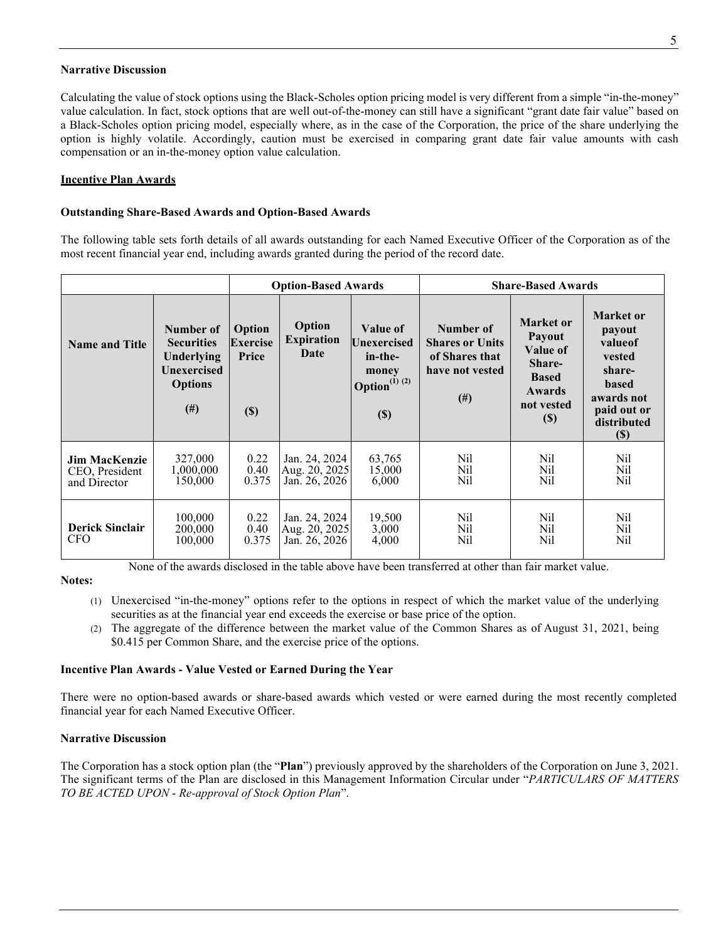#### **Narrative Discussion**

Calculating the value of stock options using the Black-Scholes option pricing model is very different from a simple "in-the-money" value calculation. In fact, stock options that are well out-of-the-money can still have a significant "grant date fair value" based on a Black-Scholes option pricing model, especially where, as in the case of the Corporation, the price of the share underlying the option is highly volatile. Accordingly, caution must be exercised in comparing grant date fair value amounts with cash compensation or an in-the-money option value calculation.

# **Incentive Plan Awards**

## **Outstanding Share-Based Awards and Option-Based Awards**

The following table sets forth details of all awards outstanding for each Named Executive Officer of the Corporation as of the most recent financial year end, including awards granted during the period of the record date.

|                                                        |                                                                                           | <b>Option-Based Awards</b>                   |                                                 |                                                                              | <b>Share-Based Awards</b>                                                          |                                                                                                    |                                                                                                                       |  |
|--------------------------------------------------------|-------------------------------------------------------------------------------------------|----------------------------------------------|-------------------------------------------------|------------------------------------------------------------------------------|------------------------------------------------------------------------------------|----------------------------------------------------------------------------------------------------|-----------------------------------------------------------------------------------------------------------------------|--|
| <b>Name and Title</b>                                  | Number of<br><b>Securities</b><br>Underlying<br>Unexercised<br><b>Options</b><br>$^{(#)}$ | Option<br><b>Exercise</b><br>Price<br>$(\$)$ | Option<br><b>Expiration</b><br>Date             | Value of<br>Unexercised<br>in-the-<br>money<br>Option $^{(1) (2)}$<br>$(\$)$ | Number of<br><b>Shares or Units</b><br>of Shares that<br>have not vested<br>$(\#)$ | Market or<br>Payout<br>Value of<br>Share-<br><b>Based</b><br><b>Awards</b><br>not vested<br>$(\$)$ | <b>Market</b> or<br>payout<br>valueof<br>vested<br>share-<br>based<br>awards not<br>paid out or<br>distributed<br>(S) |  |
| <b>Jim MacKenzie</b><br>CEO, President<br>and Director | 327,000<br>1,000,000<br>150,000                                                           | 0.22<br>0.40<br>0.375                        | Jan. 24, 2024<br>Aug. 20, 2025<br>Jan. 26, 2026 | 63,765<br>15,000<br>6,000                                                    | Nil<br>Nil<br>Nil                                                                  | Nil<br>Nil<br>Nil                                                                                  | Nil<br>Nil<br>Nil                                                                                                     |  |
| <b>Derick Sinclair</b><br><b>CFO</b>                   | 100,000<br>200,000<br>100,000                                                             | 0.22<br>0.40<br>0.375                        | Jan. 24, 2024<br>Aug. 20, 2025<br>Jan. 26, 2026 | 19,500<br>3,000<br>4,000                                                     | Nil<br>Nil<br>Nil                                                                  | Nil<br>Nil<br>Nil                                                                                  | Nil<br>Nil<br>Nil                                                                                                     |  |

None of the awards disclosed in the table above have been transferred at other than fair market value.

### **Notes:**

- (1) Unexercised "in-the-money" options refer to the options in respect of which the market value of the underlying securities as at the financial year end exceeds the exercise or base price of the option.
- (2) The aggregate of the difference between the market value of the Common Shares as of August 31, 2021, being \$0.415 per Common Share, and the exercise price of the options.

# **Incentive Plan Awards - Value Vested or Earned During the Year**

There were no option-based awards or share-based awards which vested or were earned during the most recently completed financial year for each Named Executive Officer.

# **Narrative Discussion**

The Corporation has a stock option plan (the "**Plan**") previously approved by the shareholders of the Corporation on June 3, 2021. The significant terms of the Plan are disclosed in this Management Information Circular under "*PARTICULARS OF MATTERS TO BE ACTED UPON* - *Re-approval of Stock Option Plan*".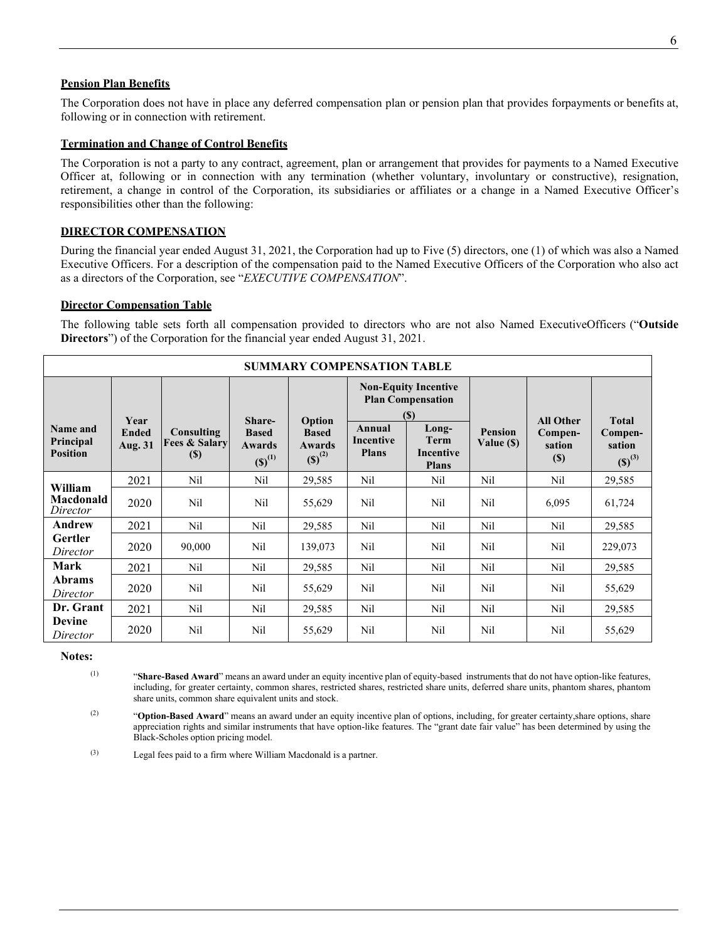#### **Pension Plan Benefits**

The Corporation does not have in place any deferred compensation plan or pension plan that provides forpayments or benefits at, following or in connection with retirement.

#### **Termination and Change of Control Benefits**

The Corporation is not a party to any contract, agreement, plan or arrangement that provides for payments to a Named Executive Officer at, following or in connection with any termination (whether voluntary, involuntary or constructive), resignation, retirement, a change in control of the Corporation, its subsidiaries or affiliates or a change in a Named Executive Officer's responsibilities other than the following:

#### **DIRECTOR COMPENSATION**

During the financial year ended August 31, 2021, the Corporation had up to Five (5) directors, one (1) of which was also a Named Executive Officers. For a description of the compensation paid to the Named Executive Officers of the Corporation who also act as a directors of the Corporation, see "*EXECUTIVE COMPENSATION*".

#### **Director Compensation Table**

The following table sets forth all compensation provided to directors who are not also Named ExecutiveOfficers ("**Outside Directors**") of the Corporation for the financial year ended August 31, 2021.

| <b>SUMMARY COMPENSATION TABLE</b> |                         |                                        |                                       |                                       |                                                                                                          |                                                 |                |                                      |                                  |
|-----------------------------------|-------------------------|----------------------------------------|---------------------------------------|---------------------------------------|----------------------------------------------------------------------------------------------------------|-------------------------------------------------|----------------|--------------------------------------|----------------------------------|
| Name and                          | Year                    | Consulting                             | Share-                                | Option                                | <b>Non-Equity Incentive</b><br><b>Plan Compensation</b><br>$\left( \mathbb{S}\right)$<br>Annual<br>Long- |                                                 | <b>Pension</b> | <b>All Other</b><br>Compen-          | <b>Total</b>                     |
| Principal<br><b>Position</b>      | <b>Ended</b><br>Aug. 31 | <b>Fees &amp; Salary</b><br><b>(S)</b> | <b>Based</b><br>Awards<br>$(S)^{(1)}$ | <b>Based</b><br>Awards<br>$(S)^{(2)}$ | Incentive<br><b>Plans</b>                                                                                | <b>Term</b><br><b>Incentive</b><br><b>Plans</b> | Value (\$)     | sation<br>$\left( \mathbb{S}\right)$ | Compen-<br>sation<br>$(S)^{(3)}$ |
| William                           | 2021                    | Nil                                    | Nil                                   | 29,585                                | Nil                                                                                                      | Nil                                             | Nil            | Nil                                  | 29,585                           |
| Macdonald<br>Director             | 2020                    | Nil                                    | Nil                                   | 55,629                                | Nil                                                                                                      | Nil                                             | Nil            | 6,095                                | 61,724                           |
| Andrew                            | 2021                    | Nil                                    | Nil                                   | 29,585                                | Nil                                                                                                      | Nil                                             | Nil            | Nil                                  | 29,585                           |
| <b>Gertler</b><br>Director        | 2020                    | 90,000                                 | Nil                                   | 139,073                               | Nil                                                                                                      | Nil                                             | Nil            | Nil                                  | 229,073                          |
| <b>Mark</b>                       | 2021                    | Nil                                    | Nil                                   | 29,585                                | Nil                                                                                                      | Nil                                             | Nil            | Nil                                  | 29,585                           |
| <b>Abrams</b><br>Director         | 2020                    | Nil                                    | Nil                                   | 55,629                                | Nil                                                                                                      | Nil                                             | Nil            | Nil                                  | 55,629                           |
| Dr. Grant                         | 2021                    | Nil                                    | Nil                                   | 29,585                                | Nil                                                                                                      | Nil                                             | Nil            | Nil                                  | 29,585                           |
| <b>Devine</b><br>Director         | 2020                    | Nil                                    | Nil                                   | 55,629                                | Nil                                                                                                      | Nil                                             | Nil            | Nil                                  | 55,629                           |

**Notes:**

(1) "**Share-Based Award**" means an award under an equity incentive plan of equity-based instruments that do not have option-like features, including, for greater certainty, common shares, restricted shares, restricted share units, deferred share units, phantom shares, phantom share units, common share equivalent units and stock.

(2) "**Option-Based Award**" means an award under an equity incentive plan of options, including, for greater certainty,share options, share appreciation rights and similar instruments that have option-like features. The "grant date fair value" has been determined by using the Black-Scholes option pricing model.

(3) Legal fees paid to a firm where William Macdonald is a partner.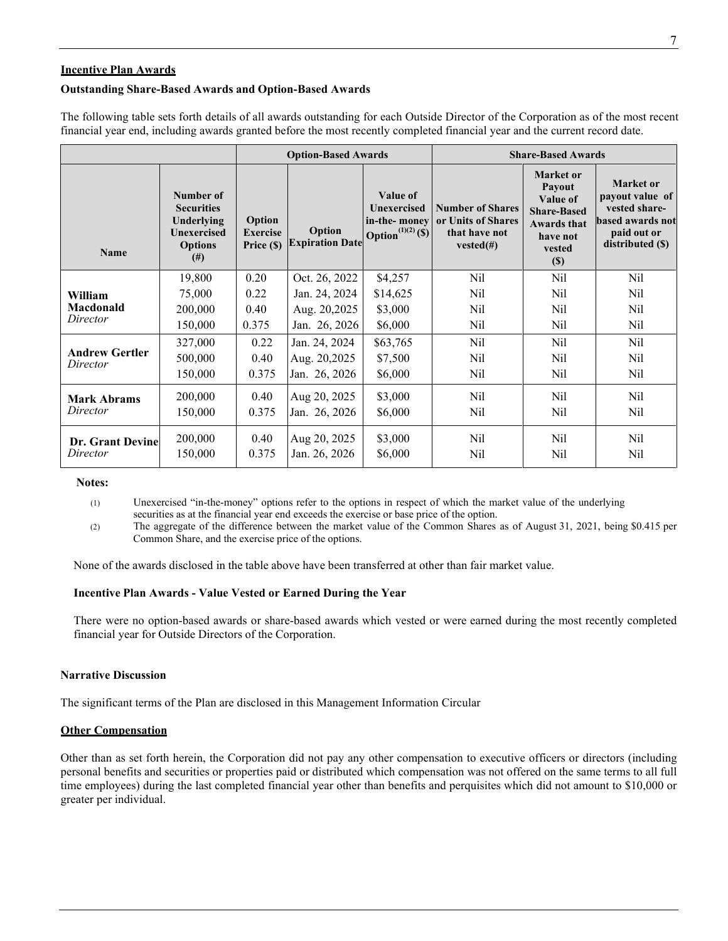#### **Incentive Plan Awards**

#### **Outstanding Share-Based Awards and Option-Based Awards**

The following table sets forth details of all awards outstanding for each Outside Director of the Corporation as of the most recent financial year end, including awards granted before the most recently completed financial year and the current record date.

|                                   |                                                                                           | <b>Option-Based Awards</b>              |                                  |                                                                                        | <b>Share-Based Awards</b>                                                      |                                                                                                          |                                                                                                      |  |
|-----------------------------------|-------------------------------------------------------------------------------------------|-----------------------------------------|----------------------------------|----------------------------------------------------------------------------------------|--------------------------------------------------------------------------------|----------------------------------------------------------------------------------------------------------|------------------------------------------------------------------------------------------------------|--|
| <b>Name</b>                       | Number of<br><b>Securities</b><br>Underlying<br>Unexercised<br><b>Options</b><br>$^{(#)}$ | Option<br><b>Exercise</b><br>Price (\$) | Option<br><b>Expiration Date</b> | Value of<br><b>Unexercised</b><br>in-the-money<br><b>Option</b> <sup>(1)(2)</sup> (\$) | <b>Number of Shares</b><br>or Units of Shares<br>that have not<br>$vested(\#)$ | Market or<br>Payout<br>Value of<br><b>Share-Based</b><br><b>Awards that</b><br>have not<br>vested<br>(S) | Market or<br>payout value of<br>vested share-<br>based awards not<br>paid out or<br>distributed (\$) |  |
|                                   | 19,800                                                                                    | 0.20                                    | Oct. 26, 2022                    | \$4,257                                                                                | Nil                                                                            | Nil                                                                                                      | Nil                                                                                                  |  |
| William                           | 75,000                                                                                    | 0.22                                    | Jan. 24, 2024                    | \$14,625                                                                               | Nil                                                                            | Nil                                                                                                      | Nil                                                                                                  |  |
| Macdonald<br>Director             | 200,000                                                                                   | 0.40                                    | Aug. 20,2025                     | \$3,000                                                                                | Nil                                                                            | <b>Nil</b>                                                                                               | Nil                                                                                                  |  |
|                                   | 150,000                                                                                   | 0.375                                   | Jan. 26, 2026                    | \$6,000                                                                                | Nil                                                                            | Nil                                                                                                      | Nil                                                                                                  |  |
|                                   | 327,000                                                                                   | 0.22                                    | Jan. 24, 2024                    | \$63,765                                                                               | Nil                                                                            | <b>Nil</b>                                                                                               | Nil                                                                                                  |  |
| <b>Andrew Gertler</b><br>Director | 500,000                                                                                   | 0.40                                    | Aug. 20,2025                     | \$7,500                                                                                | Nil                                                                            | Nil                                                                                                      | Nil                                                                                                  |  |
|                                   | 150,000                                                                                   | 0.375                                   | Jan. 26, 2026                    | \$6,000                                                                                | Nil                                                                            | Nil                                                                                                      | Nil                                                                                                  |  |
| <b>Mark Abrams</b>                | 200,000                                                                                   | 0.40                                    | Aug 20, 2025                     | \$3,000                                                                                | Nil                                                                            | Nil                                                                                                      | Nil                                                                                                  |  |
| Director                          | 150,000                                                                                   | 0.375                                   | Jan. 26, 2026                    | \$6,000                                                                                | Nil                                                                            | Nil                                                                                                      | Nil                                                                                                  |  |
| <b>Dr. Grant Devine</b>           | 200,000                                                                                   | 0.40                                    | Aug 20, 2025                     | \$3,000                                                                                | Nil                                                                            | Nil                                                                                                      | Nil                                                                                                  |  |
| Director                          | 150,000                                                                                   | 0.375                                   | Jan. 26, 2026                    | \$6,000                                                                                | Nil                                                                            | Nil                                                                                                      | Nil                                                                                                  |  |

#### **Notes:**

(1) Unexercised "in-the-money" options refer to the options in respect of which the market value of the underlying securities as at the financial year end exceeds the exercise or base price of the option.

(2) The aggregate of the difference between the market value of the Common Shares as of August 31, 2021, being \$0.415 per Common Share, and the exercise price of the options.

None of the awards disclosed in the table above have been transferred at other than fair market value.

### **Incentive Plan Awards - Value Vested or Earned During the Year**

There were no option-based awards or share-based awards which vested or were earned during the most recently completed financial year for Outside Directors of the Corporation.

#### **Narrative Discussion**

The significant terms of the Plan are disclosed in this Management Information Circular

#### **Other Compensation**

Other than as set forth herein, the Corporation did not pay any other compensation to executive officers or directors (including personal benefits and securities or properties paid or distributed which compensation was not offered on the same terms to all full time employees) during the last completed financial year other than benefits and perquisites which did not amount to \$10,000 or greater per individual.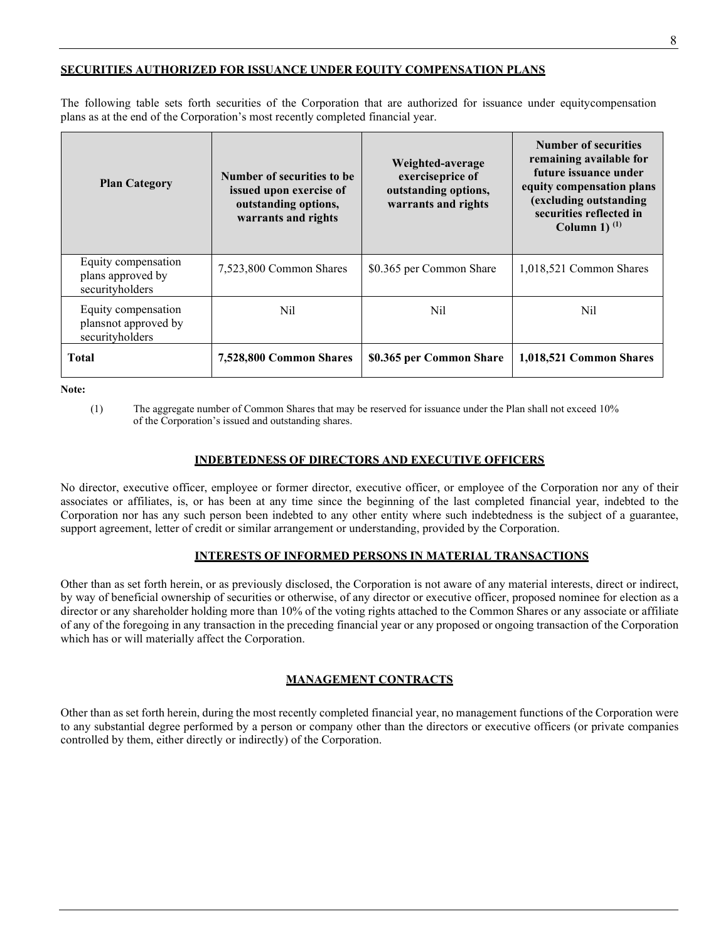# **SECURITIES AUTHORIZED FOR ISSUANCE UNDER EQUITY COMPENSATION PLANS**

The following table sets forth securities of the Corporation that are authorized for issuance under equity compensation plans as at the end of the Corporation's most recently completed financial year.

| <b>Plan Category</b>                                           | Number of securities to be<br>issued upon exercise of<br>outstanding options,<br>warrants and rights | Weighted-average<br>exerciseprice of<br>outstanding options,<br>warrants and rights | <b>Number of securities</b><br>remaining available for<br>future issuance under<br>equity compensation plans<br>(excluding outstanding<br>securities reflected in<br>Column 1) $(1)$ |  |
|----------------------------------------------------------------|------------------------------------------------------------------------------------------------------|-------------------------------------------------------------------------------------|--------------------------------------------------------------------------------------------------------------------------------------------------------------------------------------|--|
| Equity compensation<br>plans approved by<br>securityholders    | 7,523,800 Common Shares                                                                              | \$0.365 per Common Share                                                            | 1,018,521 Common Shares                                                                                                                                                              |  |
| Equity compensation<br>plansnot approved by<br>securityholders | Nil                                                                                                  |                                                                                     | Nil                                                                                                                                                                                  |  |
| Total                                                          | 7,528,800 Common Shares                                                                              | \$0.365 per Common Share                                                            | 1,018,521 Common Shares                                                                                                                                                              |  |

**Note:**

(1) The aggregate number of Common Shares that may be reserved for issuance under the Plan shall not exceed 10% of the Corporation's issued and outstanding shares.

### **INDEBTEDNESS OF DIRECTORS AND EXECUTIVE OFFICERS**

No director, executive officer, employee or former director, executive officer, or employee of the Corporation nor any of their associates or affiliates, is, or has been at any time since the beginning of the last completed financial year, indebted to the Corporation nor has any such person been indebted to any other entity where such indebtedness is the subject of a guarantee, support agreement, letter of credit or similar arrangement or understanding, provided by the Corporation.

# **INTERESTS OF INFORMED PERSONS IN MATERIAL TRANSACTIONS**

Other than as set forth herein, or as previously disclosed, the Corporation is not aware of any material interests, direct or indirect, by way of beneficial ownership of securities or otherwise, of any director or executive officer, proposed nominee for election as a director or any shareholder holding more than 10% of the voting rights attached to the Common Shares or any associate or affiliate of any of the foregoing in any transaction in the preceding financial year or any proposed or ongoing transaction of the Corporation which has or will materially affect the Corporation.

# **MANAGEMENT CONTRACTS**

Other than as set forth herein, during the most recently completed financial year, no management functions of the Corporation were to any substantial degree performed by a person or company other than the directors or executive officers (or private companies controlled by them, either directly or indirectly) of the Corporation.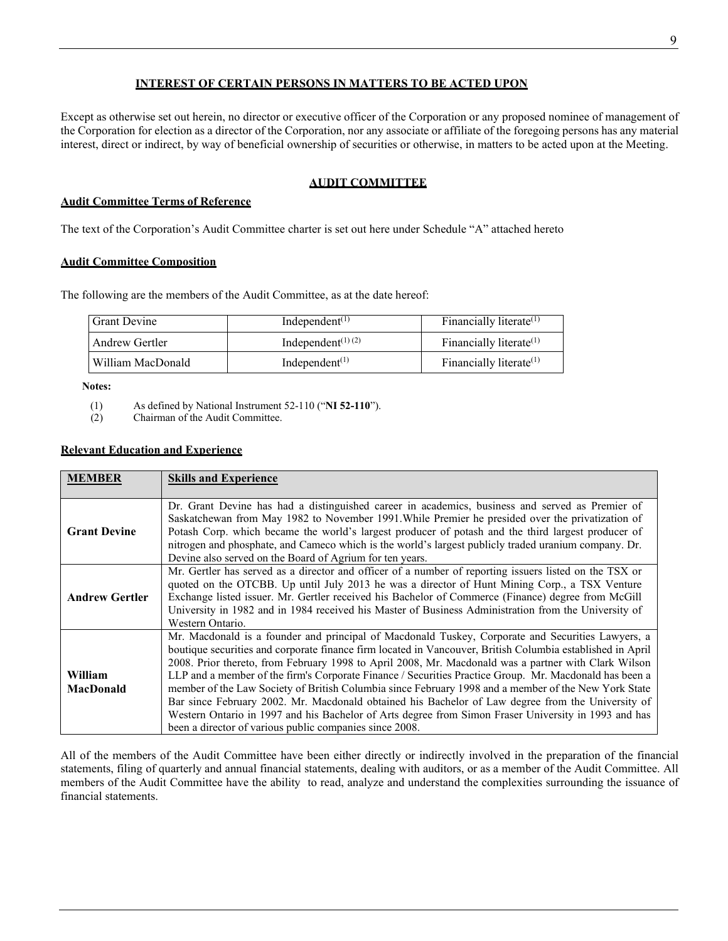# **INTEREST OF CERTAIN PERSONS IN MATTERS TO BE ACTED UPON**

Except as otherwise set out herein, no director or executive officer of the Corporation or any proposed nominee of management of the Corporation for election as a director of the Corporation, nor any associate or affiliate of the foregoing persons has any material interest, direct or indirect, by way of beneficial ownership of securities or otherwise, in matters to be acted upon at the Meeting.

# **AUDIT COMMITTEE**

## **Audit Committee Terms of Reference**

The text of the Corporation's Audit Committee charter is set out here under Schedule "A" attached hereto

### **Audit Committee Composition**

The following are the members of the Audit Committee, as at the date hereof:

| <b>Grant Devine</b> | Independent <sup><math>(1)</math></sup> | Financially literate <sup>(1)</sup> |
|---------------------|-----------------------------------------|-------------------------------------|
| Andrew Gertler      | Independent <sup>(1)(2)</sup>           | Financially literate $(1)$          |
| William MacDonald   | Independent <sup><math>(1)</math></sup> | Financially literate $(1)$          |

 **Notes:**

- (1) As defined by National Instrument 52-110 ("**NI 52-110**").
- (2) Chairman of the Audit Committee.

### **Relevant Education and Experience**

| <b>MEMBER</b>               | <b>Skills and Experience</b>                                                                                                                                                                                                                                                                                                                                                                                                                                                                                                                                                                                                                                                                                                                                                                                      |
|-----------------------------|-------------------------------------------------------------------------------------------------------------------------------------------------------------------------------------------------------------------------------------------------------------------------------------------------------------------------------------------------------------------------------------------------------------------------------------------------------------------------------------------------------------------------------------------------------------------------------------------------------------------------------------------------------------------------------------------------------------------------------------------------------------------------------------------------------------------|
| <b>Grant Devine</b>         | Dr. Grant Devine has had a distinguished career in academics, business and served as Premier of<br>Saskatchewan from May 1982 to November 1991. While Premier he presided over the privatization of<br>Potash Corp. which became the world's largest producer of potash and the third largest producer of<br>nitrogen and phosphate, and Cameco which is the world's largest publicly traded uranium company. Dr.<br>Devine also served on the Board of Agrium for ten years.                                                                                                                                                                                                                                                                                                                                     |
| <b>Andrew Gertler</b>       | Mr. Gertler has served as a director and officer of a number of reporting issuers listed on the TSX or<br>quoted on the OTCBB. Up until July 2013 he was a director of Hunt Mining Corp., a TSX Venture<br>Exchange listed issuer. Mr. Gertler received his Bachelor of Commerce (Finance) degree from McGill<br>University in 1982 and in 1984 received his Master of Business Administration from the University of<br>Western Ontario.                                                                                                                                                                                                                                                                                                                                                                         |
| William<br><b>MacDonald</b> | Mr. Macdonald is a founder and principal of Macdonald Tuskey, Corporate and Securities Lawyers, a<br>boutique securities and corporate finance firm located in Vancouver, British Columbia established in April<br>2008. Prior thereto, from February 1998 to April 2008, Mr. Macdonald was a partner with Clark Wilson<br>LLP and a member of the firm's Corporate Finance / Securities Practice Group. Mr. Macdonald has been a<br>member of the Law Society of British Columbia since February 1998 and a member of the New York State<br>Bar since February 2002. Mr. Macdonald obtained his Bachelor of Law degree from the University of<br>Western Ontario in 1997 and his Bachelor of Arts degree from Simon Fraser University in 1993 and has<br>been a director of various public companies since 2008. |

All of the members of the Audit Committee have been either directly or indirectly involved in the preparation of the financial statements, filing of quarterly and annual financial statements, dealing with auditors, or as a member of the Audit Committee. All members of the Audit Committee have the ability to read, analyze and understand the complexities surrounding the issuance of financial statements.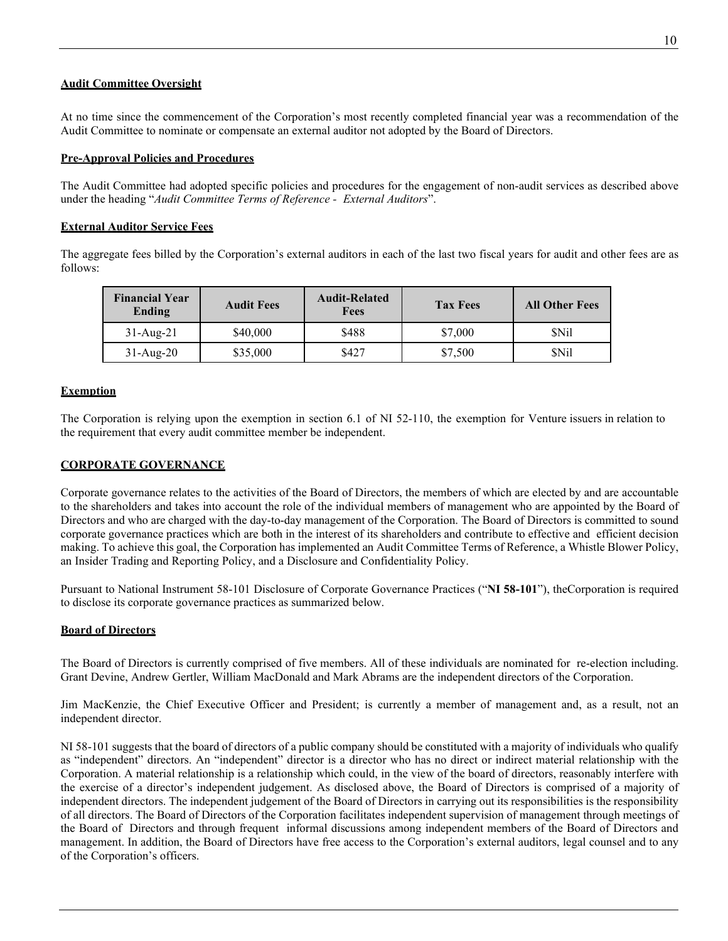# **Audit Committee Oversight**

At no time since the commencement of the Corporation's most recently completed financial year was a recommendation of the Audit Committee to nominate or compensate an external auditor not adopted by the Board of Directors.

## **Pre-Approval Policies and Procedures**

The Audit Committee had adopted specific policies and procedures for the engagement of non-audit services as described above under the heading "*Audit Committee Terms of Reference - External Auditors*".

### **External Auditor Service Fees**

The aggregate fees billed by the Corporation's external auditors in each of the last two fiscal years for audit and other fees are as follows:

| <b>Financial Year</b><br>Ending | <b>Audit Fees</b> | <b>Audit-Related</b><br>Fees | <b>Tax Fees</b> | <b>All Other Fees</b> |
|---------------------------------|-------------------|------------------------------|-----------------|-----------------------|
| $31$ -Aug-21                    | \$40,000          | \$488                        | \$7,000         | <b>SNil</b>           |
| $31$ -Aug- $20$                 | \$35,000          | \$427                        | \$7,500         | <b>SNil</b>           |

# **Exemption**

The Corporation is relying upon the exemption in section 6.1 of NI 52-110, the exemption for Venture issuers in relation to the requirement that every audit committee member be independent.

### **CORPORATE GOVERNANCE**

Corporate governance relates to the activities of the Board of Directors, the members of which are elected by and are accountable to the shareholders and takes into account the role of the individual members of management who are appointed by the Board of Directors and who are charged with the day-to-day management of the Corporation. The Board of Directors is committed to sound corporate governance practices which are both in the interest of its shareholders and contribute to effective and efficient decision making. To achieve this goal, the Corporation has implemented an Audit Committee Terms of Reference, a Whistle Blower Policy, an Insider Trading and Reporting Policy, and a Disclosure and Confidentiality Policy.

Pursuant to National Instrument 58-101 Disclosure of Corporate Governance Practices ("**NI 58-101**"), theCorporation is required to disclose its corporate governance practices as summarized below.

# **Board of Directors**

The Board of Directors is currently comprised of five members. All of these individuals are nominated for re-election including. Grant Devine, Andrew Gertler, William MacDonald and Mark Abrams are the independent directors of the Corporation.

Jim MacKenzie, the Chief Executive Officer and President; is currently a member of management and, as a result, not an independent director.

NI 58-101 suggests that the board of directors of a public company should be constituted with a majority of individuals who qualify as "independent" directors. An "independent" director is a director who has no direct or indirect material relationship with the Corporation. A material relationship is a relationship which could, in the view of the board of directors, reasonably interfere with the exercise of a director's independent judgement. As disclosed above, the Board of Directors is comprised of a majority of independent directors. The independent judgement of the Board of Directors in carrying out its responsibilities is the responsibility of all directors. The Board of Directors of the Corporation facilitates independent supervision of management through meetings of the Board of Directors and through frequent informal discussions among independent members of the Board of Directors and management. In addition, the Board of Directors have free access to the Corporation's external auditors, legal counsel and to any of the Corporation's officers.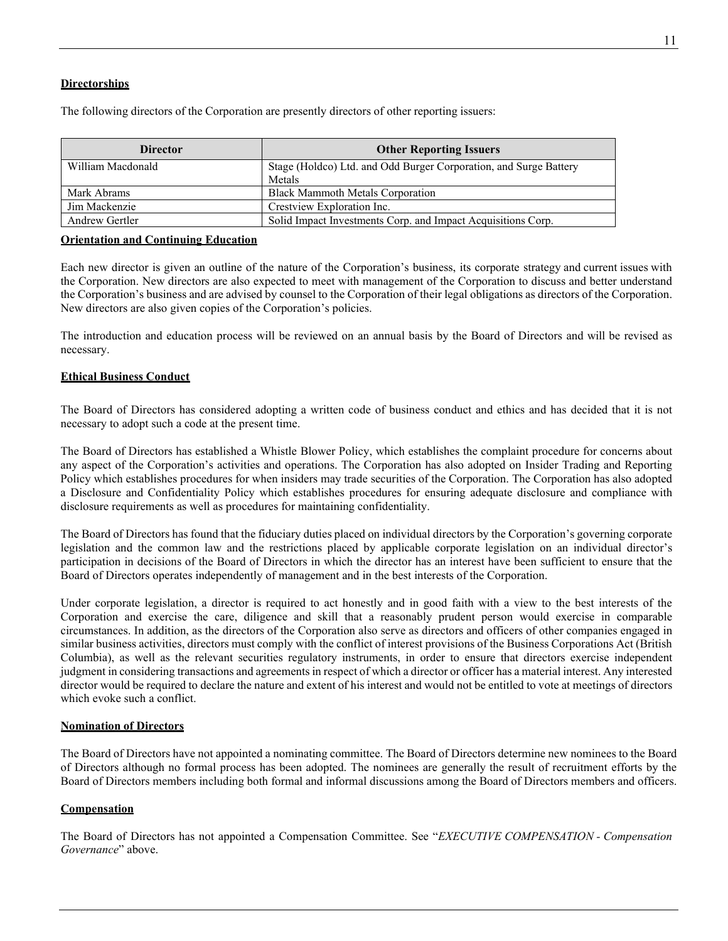# **Directorships**

The following directors of the Corporation are presently directors of other reporting issuers:

| <b>Director</b>   | <b>Other Reporting Issuers</b>                                    |
|-------------------|-------------------------------------------------------------------|
| William Macdonald | Stage (Holdco) Ltd. and Odd Burger Corporation, and Surge Battery |
|                   | Metals                                                            |
| Mark Abrams       | <b>Black Mammoth Metals Corporation</b>                           |
| Jim Mackenzie     | Crestview Exploration Inc.                                        |
| Andrew Gertler    | Solid Impact Investments Corp. and Impact Acquisitions Corp.      |

#### **Orientation and Continuing Education**

Each new director is given an outline of the nature of the Corporation's business, its corporate strategy and current issues with the Corporation. New directors are also expected to meet with management of the Corporation to discuss and better understand the Corporation's business and are advised by counsel to the Corporation of their legal obligations as directors of the Corporation. New directors are also given copies of the Corporation's policies.

The introduction and education process will be reviewed on an annual basis by the Board of Directors and will be revised as necessary.

#### **Ethical Business Conduct**

The Board of Directors has considered adopting a written code of business conduct and ethics and has decided that it is not necessary to adopt such a code at the present time.

The Board of Directors has established a Whistle Blower Policy, which establishes the complaint procedure for concerns about any aspect of the Corporation's activities and operations. The Corporation has also adopted on Insider Trading and Reporting Policy which establishes procedures for when insiders may trade securities of the Corporation. The Corporation has also adopted a Disclosure and Confidentiality Policy which establishes procedures for ensuring adequate disclosure and compliance with disclosure requirements as well as procedures for maintaining confidentiality.

The Board of Directors has found that the fiduciary duties placed on individual directors by the Corporation's governing corporate legislation and the common law and the restrictions placed by applicable corporate legislation on an individual director's participation in decisions of the Board of Directors in which the director has an interest have been sufficient to ensure that the Board of Directors operates independently of management and in the best interests of the Corporation.

Under corporate legislation, a director is required to act honestly and in good faith with a view to the best interests of the Corporation and exercise the care, diligence and skill that a reasonably prudent person would exercise in comparable circumstances. In addition, as the directors of the Corporation also serve as directors and officers of other companies engaged in similar business activities, directors must comply with the conflict of interest provisions of the Business Corporations Act (British Columbia), as well as the relevant securities regulatory instruments, in order to ensure that directors exercise independent judgment in considering transactions and agreements in respect of which a director or officer has a material interest. Any interested director would be required to declare the nature and extent of his interest and would not be entitled to vote at meetings of directors which evoke such a conflict.

#### **Nomination of Directors**

The Board of Directors have not appointed a nominating committee. The Board of Directors determine new nominees to the Board of Directors although no formal process has been adopted. The nominees are generally the result of recruitment efforts by the Board of Directors members including both formal and informal discussions among the Board of Directors members and officers.

#### **Compensation**

The Board of Directors has not appointed a Compensation Committee. See "*EXECUTIVE COMPENSATION - Compensation Governance*" above.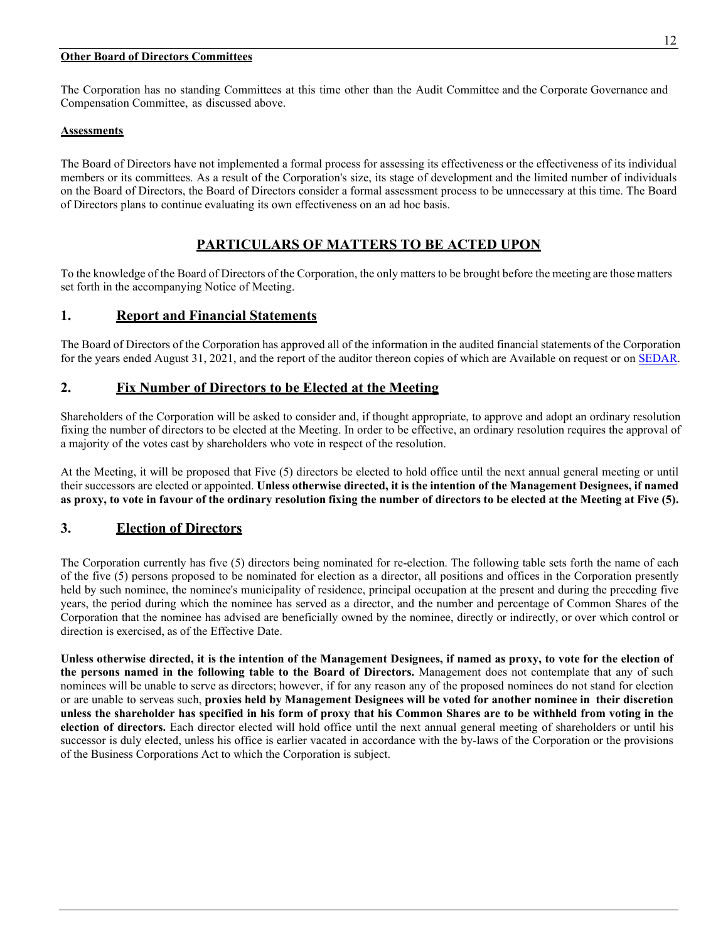#### **Other Board of Directors Committees**

The Corporation has no standing Committees at this time other than the Audit Committee and the Corporate Governance and Compensation Committee, as discussed above.

# **Assessments**

The Board of Directors have not implemented a formal process for assessing its effectiveness or the effectiveness of its individual members or its committees. As a result of the Corporation's size, its stage of development and the limited number of individuals on the Board of Directors, the Board of Directors consider a formal assessment process to be unnecessary at this time. The Board of Directors plans to continue evaluating its own effectiveness on an ad hoc basis.

# **PARTICULARS OF MATTERS TO BE ACTED UPON**

To the knowledge of the Board of Directors of the Corporation, the only matters to be brought before the meeting are those matters set forth in the accompanying Notice of Meeting.

# **1. Report and Financial Statements**

The Board of Directors of the Corporation has approved all of the information in the audited financial statements of the Corporation for the years ended August 31, 2021, and the report of the auditor thereon copies of which are Available on request or on [SEDAR.](https://www.sedar.com/DisplayProfile.do?lang=EN&issuerType=03&issuerNo=00033106)

# **2. Fix Number of Directors to be Elected at the Meeting**

Shareholders of the Corporation will be asked to consider and, if thought appropriate, to approve and adopt an ordinary resolution fixing the number of directors to be elected at the Meeting. In order to be effective, an ordinary resolution requires the approval of a majority of the votes cast by shareholders who vote in respect of the resolution.

At the Meeting, it will be proposed that Five (5) directors be elected to hold office until the next annual general meeting or until their successors are elected or appointed. **Unless otherwise directed, it is the intention of the Management Designees, if named as proxy, to vote in favour of the ordinary resolution fixing the number of directors to be elected at the Meeting at Five (5).**

# **3. Election of Directors**

The Corporation currently has five (5) directors being nominated for re-election. The following table sets forth the name of each of the five (5) persons proposed to be nominated for election as a director, all positions and offices in the Corporation presently held by such nominee, the nominee's municipality of residence, principal occupation at the present and during the preceding five years, the period during which the nominee has served as a director, and the number and percentage of Common Shares of the Corporation that the nominee has advised are beneficially owned by the nominee, directly or indirectly, or over which control or direction is exercised, as of the Effective Date.

**Unless otherwise directed, it is the intention of the Management Designees, if named as proxy, to vote for the election of the persons named in the following table to the Board of Directors.** Management does not contemplate that any of such nominees will be unable to serve as directors; however, if for any reason any of the proposed nominees do not stand for election or are unable to serveas such, **proxies held by Management Designees will be voted for another nominee in their discretion unless the shareholder has specified in his form of proxy that his Common Shares are to be withheld from voting in the election of directors.** Each director elected will hold office until the next annual general meeting of shareholders or until his successor is duly elected, unless his office is earlier vacated in accordance with the by-laws of the Corporation or the provisions of the Business Corporations Act to which the Corporation is subject.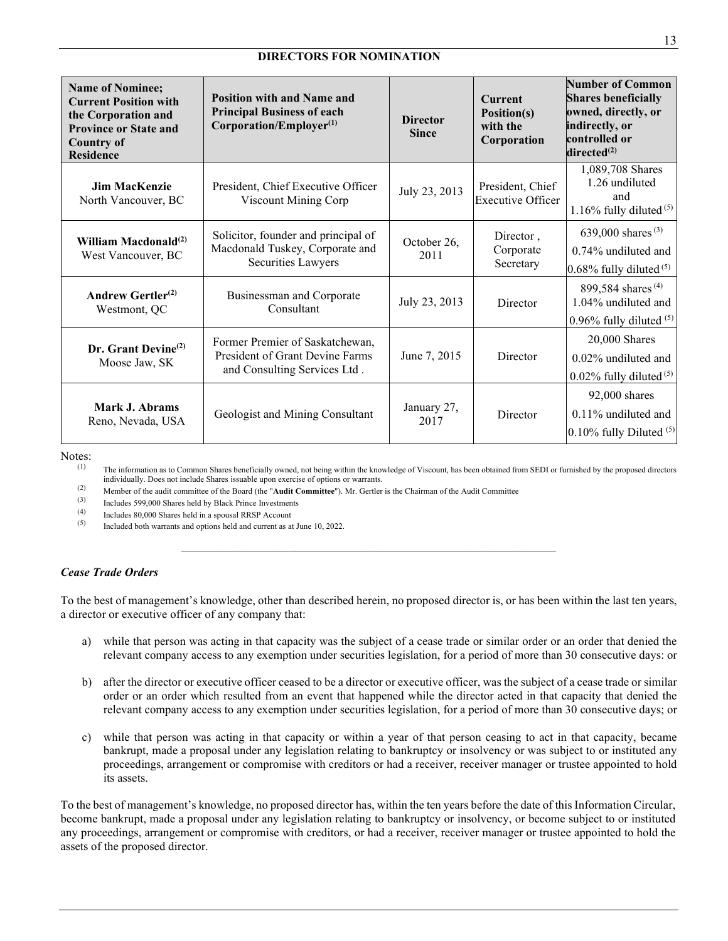### **DIRECTORS FOR NOMINATION**

| <b>Name of Nominee;</b><br><b>Current Position with</b><br>the Corporation and<br><b>Province or State and</b><br><b>Country of</b><br><b>Residence</b> | <b>Position with and Name and</b><br><b>Principal Business of each</b><br>$Corporation/Emplayer^{(1)}$ | <b>Director</b><br><b>Since</b> | <b>Current</b><br>Position(s)<br>with the<br>Corporation | Number of Common<br><b>Shares beneficially</b><br>owned, directly, or<br>indirectly, or<br>controlled or<br>directed $^{(2)}$ |
|---------------------------------------------------------------------------------------------------------------------------------------------------------|--------------------------------------------------------------------------------------------------------|---------------------------------|----------------------------------------------------------|-------------------------------------------------------------------------------------------------------------------------------|
| Jim MacKenzie<br>North Vancouver, BC                                                                                                                    | President, Chief Executive Officer<br>Viscount Mining Corp                                             | July 23, 2013                   | President, Chief<br><b>Executive Officer</b>             | 1,089,708 Shares<br>1.26 undiluted<br>and<br>1.16% fully diluted $(5)$                                                        |
| William Macdonald <sup>(2)</sup><br>West Vancouver, BC                                                                                                  | Solicitor, founder and principal of<br>Macdonald Tuskey, Corporate and<br>Securities Lawyers           | October 26,<br>2011             | Director,<br>Corporate<br>Secretary                      | 639,000 shares $(3)$<br>$0.74\%$ undiluted and<br>$0.68\%$ fully diluted $(5)$                                                |
| Andrew Gertler <sup>(2)</sup><br>Westmont, QC                                                                                                           | Businessman and Corporate<br>Consultant                                                                | July 23, 2013                   | Director                                                 | 899,584 shares $(4)$<br>1.04% undiluted and<br>0.96% fully diluted $(5)$                                                      |
| Dr. Grant Devine $^{(2)}$<br>Moose Jaw, SK                                                                                                              | Former Premier of Saskatchewan,<br>President of Grant Devine Farms<br>and Consulting Services Ltd.     | June 7, 2015                    | Director                                                 | 20,000 Shares<br>$0.02\%$ undiluted and<br>$0.02\%$ fully diluted $(5)$                                                       |
| Mark J. Abrams<br>Reno, Nevada, USA                                                                                                                     | Geologist and Mining Consultant                                                                        | January 27,<br>2017             | Director                                                 | 92,000 shares<br>0.11% undiluted and<br>$0.10\%$ fully Diluted $(5)$                                                          |

Notes:<br>(1)

The information as to Common Shares beneficially owned, not being within the knowledge of Viscount, has been obtained from SEDI or furnished by the proposed directors individually. Does not include Shares issuable upon exercise of options or warrants.

(2) Member of the audit committee of the Board (the "**Audit Committee**"). Mr. Gertler is the Chairman of the Audit Committee (3) Includes 500,000 Shares hald by Plack Prince Investments.

(3) Includes 599,000 Shares held by Black Prince Investments<br>(4) Includes 80,000 Shares held in a ground PPSP Agosunt

(4) Includes 80,000 Shares held in a spousal RRSP Account<br>(5) Included both were not only only and our can be seen to as

Included both warrants and options held and current as at June 10, 2022.

#### *Cease Trade Orders*

To the best of management's knowledge, other than described herein, no proposed director is, or has been within the last ten years, a director or executive officer of any company that:

*\_\_\_\_\_\_\_\_\_\_\_\_\_\_\_\_\_\_\_\_\_\_\_\_\_\_\_\_\_\_\_\_\_\_\_\_\_\_\_\_\_\_\_\_\_\_\_\_\_\_\_\_\_\_\_\_\_\_\_\_\_\_\_*

- a) while that person was acting in that capacity was the subject of a cease trade or similar order or an order that denied the relevant company access to any exemption under securities legislation, for a period of more than 30 consecutive days: or
- b) after the director or executive officer ceased to be a director or executive officer, was the subject of a cease trade or similar order or an order which resulted from an event that happened while the director acted in that capacity that denied the relevant company access to any exemption under securities legislation, for a period of more than 30 consecutive days; or
- c) while that person was acting in that capacity or within a year of that person ceasing to act in that capacity, became bankrupt, made a proposal under any legislation relating to bankruptcy or insolvency or was subject to or instituted any proceedings, arrangement or compromise with creditors or had a receiver, receiver manager or trustee appointed to hold its assets.

To the best of management's knowledge, no proposed director has, within the ten years before the date of this Information Circular, become bankrupt, made a proposal under any legislation relating to bankruptcy or insolvency, or become subject to or instituted any proceedings, arrangement or compromise with creditors, or had a receiver, receiver manager or trustee appointed to hold the assets of the proposed director.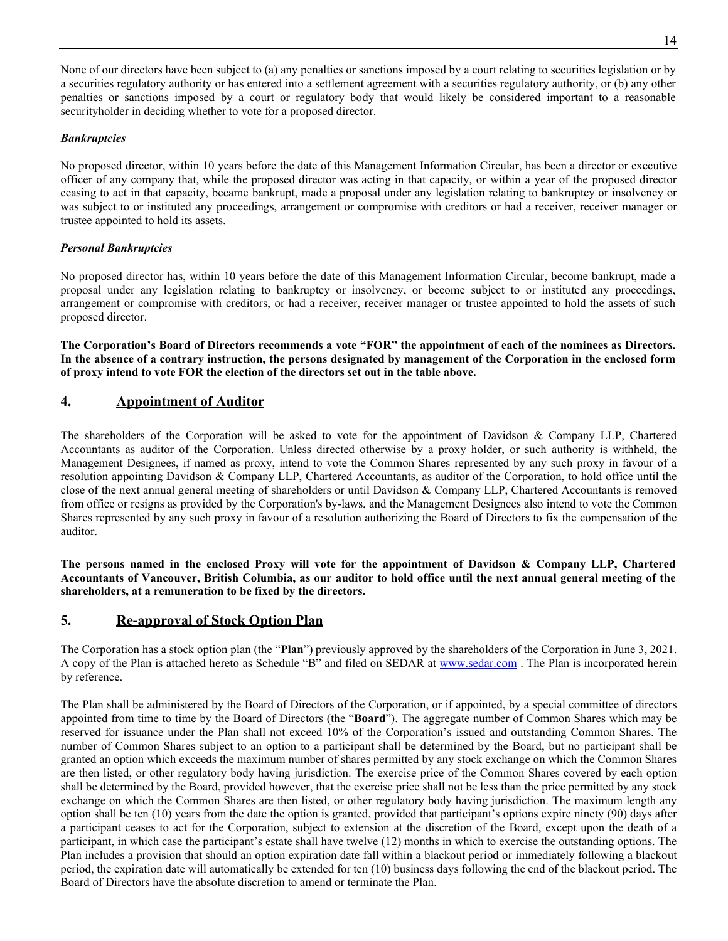None of our directors have been subject to (a) any penalties or sanctions imposed by a court relating to securities legislation or by a securities regulatory authority or has entered into a settlement agreement with a securities regulatory authority, or (b) any other penalties or sanctions imposed by a court or regulatory body that would likely be considered important to a reasonable securityholder in deciding whether to vote for a proposed director.

# *Bankruptcies*

No proposed director, within 10 years before the date of this Management Information Circular, has been a director or executive officer of any company that, while the proposed director was acting in that capacity, or within a year of the proposed director ceasing to act in that capacity, became bankrupt, made a proposal under any legislation relating to bankruptcy or insolvency or was subject to or instituted any proceedings, arrangement or compromise with creditors or had a receiver, receiver manager or trustee appointed to hold its assets.

# *Personal Bankruptcies*

No proposed director has, within 10 years before the date of this Management Information Circular, become bankrupt, made a proposal under any legislation relating to bankruptcy or insolvency, or become subject to or instituted any proceedings, arrangement or compromise with creditors, or had a receiver, receiver manager or trustee appointed to hold the assets of such proposed director.

**The Corporation's Board of Directors recommends a vote "FOR" the appointment of each of the nominees as Directors. In the absence of a contrary instruction, the persons designated by management of the Corporation in the enclosed form of proxy intend to vote FOR the election of the directors set out in the table above.**

# **4. Appointment of Auditor**

The shareholders of the Corporation will be asked to vote for the appointment of Davidson & Company LLP, Chartered Accountants as auditor of the Corporation. Unless directed otherwise by a proxy holder, or such authority is withheld, the Management Designees, if named as proxy, intend to vote the Common Shares represented by any such proxy in favour of a resolution appointing Davidson & Company LLP, Chartered Accountants, as auditor of the Corporation, to hold office until the close of the next annual general meeting of shareholders or until Davidson & Company LLP, Chartered Accountants is removed from office or resigns as provided by the Corporation's by-laws, and the Management Designees also intend to vote the Common Shares represented by any such proxy in favour of a resolution authorizing the Board of Directors to fix the compensation of the auditor.

**The persons named in the enclosed Proxy will vote for the appointment of Davidson & Company LLP, Chartered Accountants of Vancouver, British Columbia, as our auditor to hold office until the next annual general meeting of the shareholders, at a remuneration to be fixed by the directors.**

# **5. Re-approval of Stock Option Plan**

The Corporation has a stock option plan (the "**Plan**") previously approved by the shareholders of the Corporation in June 3, 2021. A copy of the Plan is attached hereto as Schedule "B" and filed on SEDAR at [www.sedar.com](http://www.sedar.com/). The Plan is incorporated herein by reference.

The Plan shall be administered by the Board of Directors of the Corporation, or if appointed, by a special committee of directors appointed from time to time by the Board of Directors (the "**Board**"). The aggregate number of Common Shares which may be reserved for issuance under the Plan shall not exceed 10% of the Corporation's issued and outstanding Common Shares. The number of Common Shares subject to an option to a participant shall be determined by the Board, but no participant shall be granted an option which exceeds the maximum number of shares permitted by any stock exchange on which the Common Shares are then listed, or other regulatory body having jurisdiction. The exercise price of the Common Shares covered by each option shall be determined by the Board, provided however, that the exercise price shall not be less than the price permitted by any stock exchange on which the Common Shares are then listed, or other regulatory body having jurisdiction. The maximum length any option shall be ten (10) years from the date the option is granted, provided that participant's options expire ninety (90) days after a participant ceases to act for the Corporation, subject to extension at the discretion of the Board, except upon the death of a participant, in which case the participant's estate shall have twelve (12) months in which to exercise the outstanding options. The Plan includes a provision that should an option expiration date fall within a blackout period or immediately following a blackout period, the expiration date will automatically be extended for ten (10) business days following the end of the blackout period. The Board of Directors have the absolute discretion to amend or terminate the Plan.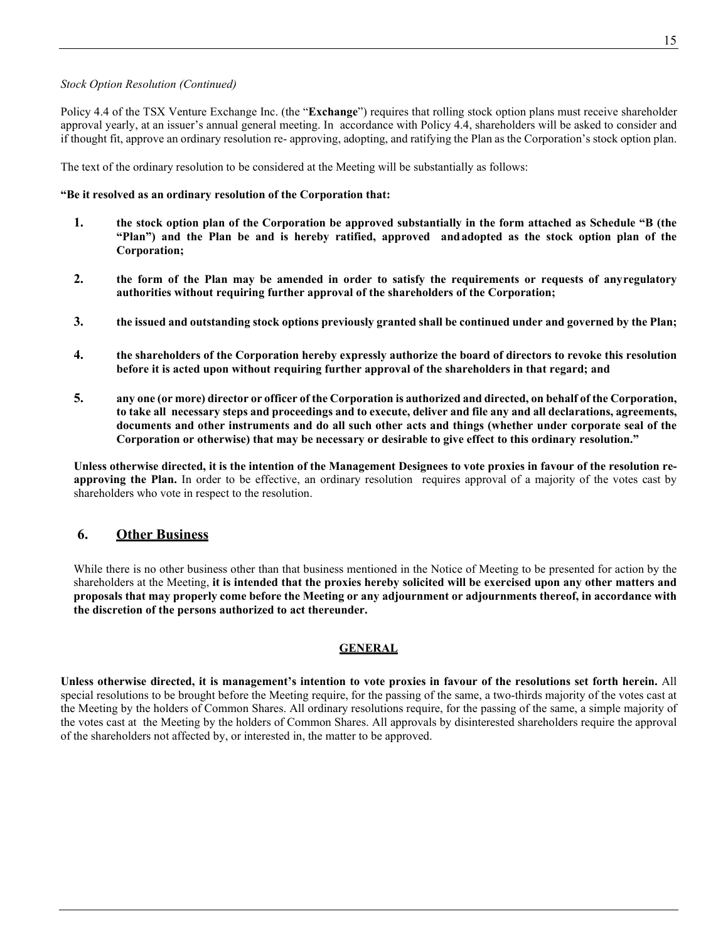#### *Stock Option Resolution (Continued)*

Policy 4.4 of the TSX Venture Exchange Inc. (the "**Exchange**") requires that rolling stock option plans must receive shareholder approval yearly, at an issuer's annual general meeting. In accordance with Policy 4.4, shareholders will be asked to consider and if thought fit, approve an ordinary resolution re- approving, adopting, and ratifying the Plan as the Corporation's stock option plan.

The text of the ordinary resolution to be considered at the Meeting will be substantially as follows:

#### **"Be it resolved as an ordinary resolution of the Corporation that:**

- **1. the stock option plan of the Corporation be approved substantially in the form attached as Schedule "B (the "Plan") and the Plan be and is hereby ratified, approved andadopted as the stock option plan of the Corporation;**
- **2. the form of the Plan may be amended in order to satisfy the requirements or requests of anyregulatory authorities without requiring further approval of the shareholders of the Corporation;**
- **3. the issued and outstanding stock options previously granted shall be continued under and governed by the Plan;**
- **4. the shareholders of the Corporation hereby expressly authorize the board of directors to revoke this resolution before it is acted upon without requiring further approval of the shareholders in that regard; and**
- **5. any one (or more) director or officer of the Corporation is authorized and directed, on behalf of the Corporation, to take all necessary steps and proceedings and to execute, deliver and file any and all declarations, agreements, documents and other instruments and do all such other acts and things (whether under corporate seal of the Corporation or otherwise) that may be necessary or desirable to give effect to this ordinary resolution."**

**Unless otherwise directed, it is the intention of the Management Designees to vote proxies in favour of the resolution reapproving the Plan.** In order to be effective, an ordinary resolution requires approval of a majority of the votes cast by shareholders who vote in respect to the resolution.

# **6. Other Business**

While there is no other business other than that business mentioned in the Notice of Meeting to be presented for action by the shareholders at the Meeting, **it is intended that the proxies hereby solicited will be exercised upon any other matters and proposals that may properly come before the Meeting or any adjournment or adjournments thereof, in accordance with the discretion of the persons authorized to act thereunder.**

#### **GENERAL**

**Unless otherwise directed, it is management's intention to vote proxies in favour of the resolutions set forth herein.** All special resolutions to be brought before the Meeting require, for the passing of the same, a two-thirds majority of the votes cast at the Meeting by the holders of Common Shares. All ordinary resolutions require, for the passing of the same, a simple majority of the votes cast at the Meeting by the holders of Common Shares. All approvals by disinterested shareholders require the approval of the shareholders not affected by, or interested in, the matter to be approved.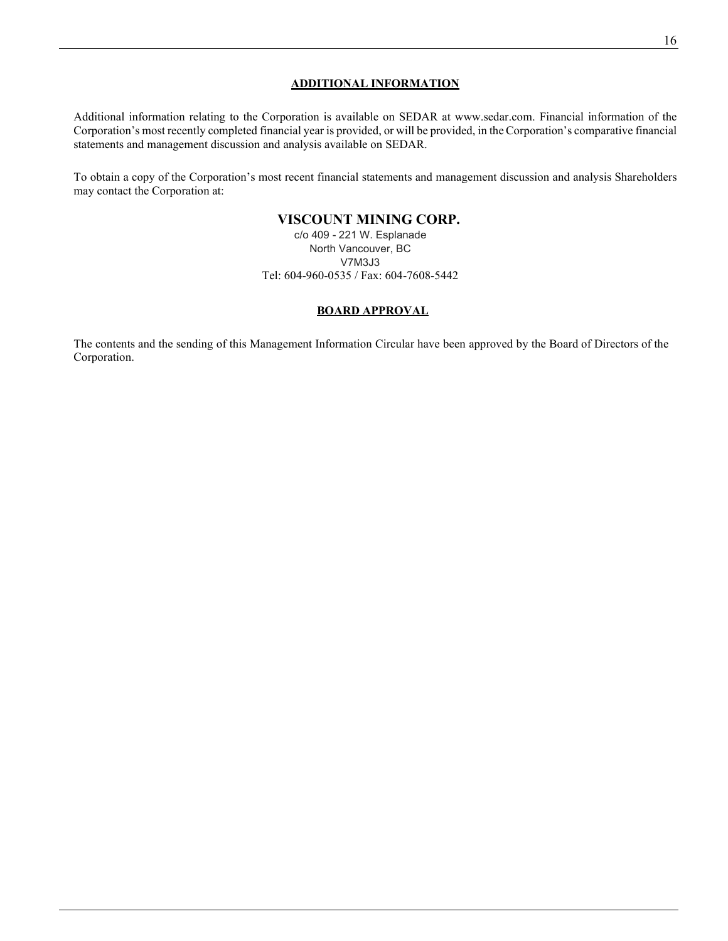# **ADDITIONAL INFORMATION**

Additional information relating to the Corporation is available on SEDAR at [www.sedar.com. F](http://www.sedar.com/)inancial information of the Corporation's most recently completed financial year is provided, or will be provided, in the Corporation's comparative financial statements and management discussion and analysis available on SEDAR.

To obtain a copy of the Corporation's most recent financial statements and management discussion and analysis Shareholders may contact the Corporation at:

# **VISCOUNT MINING CORP.**

c/o 409 - 221 W. Esplanade North Vancouver, BC V7M3J3 Tel: 604-960-0535 / Fax: 604-7608-5442

### **BOARD APPROVAL**

The contents and the sending of this Management Information Circular have been approved by the Board of Directors of the Corporation.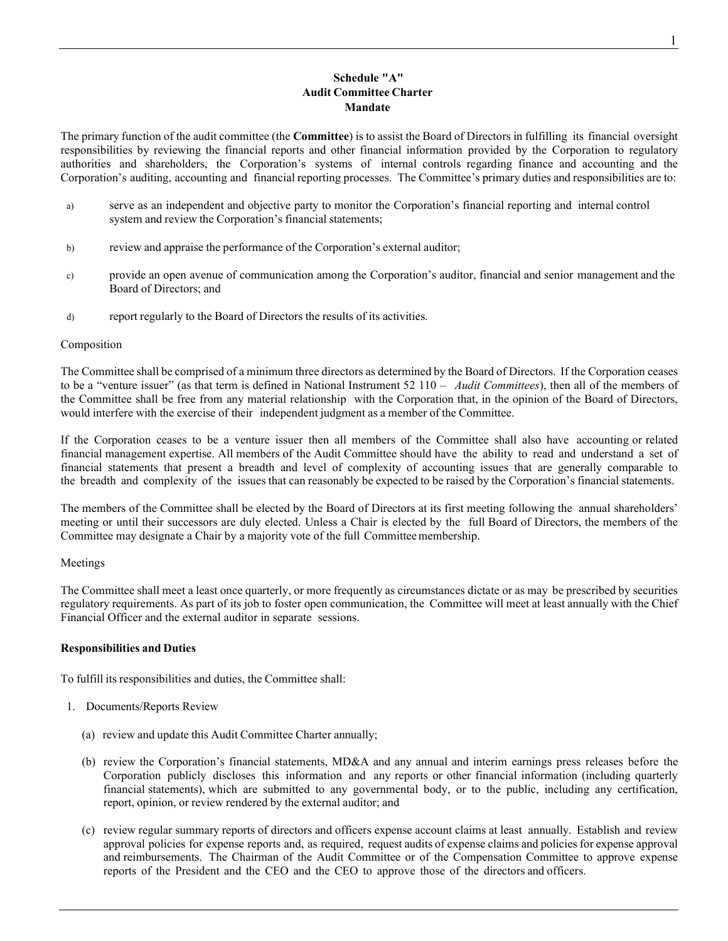# **Schedule "A" Audit Committee Charter Mandate**

The primary function of the audit committee (the **Committee**) is to assist the Board of Directors in fulfilling its financial oversight responsibilities by reviewing the financial reports and other financial information provided by the Corporation to regulatory authorities and shareholders, the Corporation's systems of internal controls regarding finance and accounting and the Corporation's auditing, accounting and financial reporting processes. The Committee's primary duties and responsibilities are to:

- a) serve as an independent and objective party to monitor the Corporation's financial reporting and internal control system and review the Corporation's financial statements;
- b) review and appraise the performance of the Corporation's external auditor;
- c) provide an open avenue of communication among the Corporation's auditor, financial and senior management and the Board of Directors; and
- d) report regularly to the Board of Directors the results of its activities.

#### Composition

The Committee shall be comprised of a minimum three directors as determined by the Board of Directors. If the Corporation ceases to be a "venture issuer" (as that term is defined in National Instrument 52 110 – *Audit Committees*), then all of the members of the Committee shall be free from any material relationship with the Corporation that, in the opinion of the Board of Directors, would interfere with the exercise of their independent judgment as a member of the Committee.

If the Corporation ceases to be a venture issuer then all members of the Committee shall also have accounting or related financial management expertise. All members of the Audit Committee should have the ability to read and understand a set of financial statements that present a breadth and level of complexity of accounting issues that are generally comparable to the breadth and complexity of the issues that can reasonably be expected to be raised by the Corporation's financial statements.

The members of the Committee shall be elected by the Board of Directors at its first meeting following the annual shareholders' meeting or until their successors are duly elected. Unless a Chair is elected by the full Board of Directors, the members of the Committee may designate a Chair by a majority vote of the full Committeemembership.

#### Meetings

The Committee shall meet a least once quarterly, or more frequently as circumstances dictate or as may be prescribed by securities regulatory requirements. As part of its job to foster open communication, the Committee will meet at least annually with the Chief Financial Officer and the external auditor in separate sessions.

#### **Responsibilities and Duties**

To fulfill its responsibilities and duties, the Committee shall:

- 1. Documents/Reports Review
	- (a) review and update this Audit Committee Charter annually;
	- (b) review the Corporation's financial statements, MD&A and any annual and interim earnings press releases before the Corporation publicly discloses this information and any reports or other financial information (including quarterly financial statements), which are submitted to any governmental body, or to the public, including any certification, report, opinion, or review rendered by the external auditor; and
	- (c) review regular summary reports of directors and officers expense account claims at least annually. Establish and review approval policies for expense reports and, as required, request audits of expense claims and policies for expense approval and reimbursements. The Chairman of the Audit Committee or of the Compensation Committee to approve expense reports of the President and the CEO and the CEO to approve those of the directors and officers.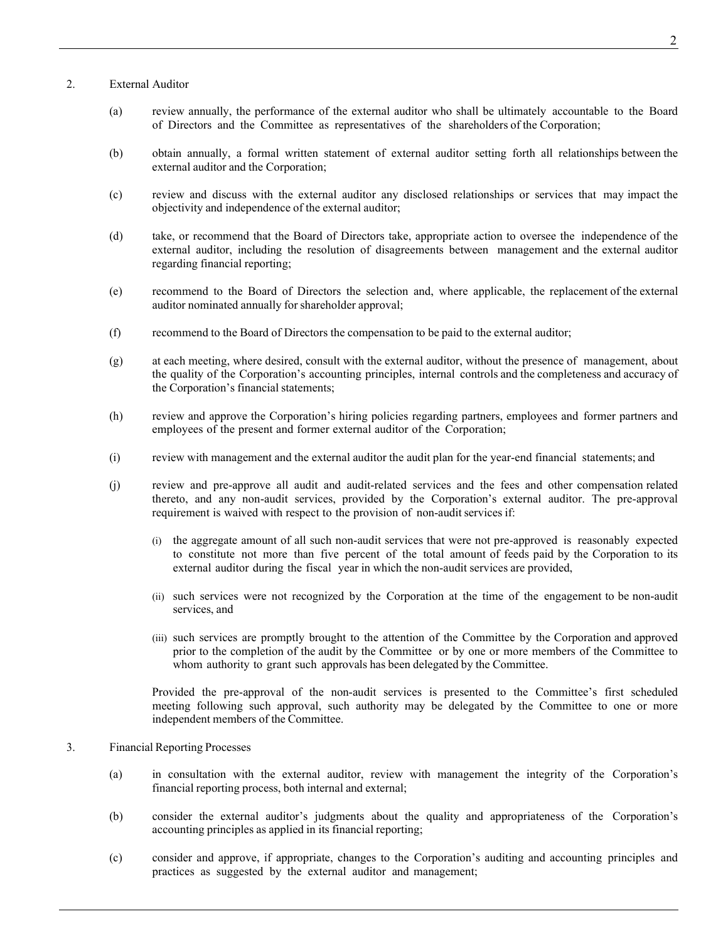### 2. External Auditor

- (a) review annually, the performance of the external auditor who shall be ultimately accountable to the Board of Directors and the Committee as representatives of the shareholders of the Corporation;
- (b) obtain annually, a formal written statement of external auditor setting forth all relationships between the external auditor and the Corporation;
- (c) review and discuss with the external auditor any disclosed relationships or services that may impact the objectivity and independence of the external auditor;
- (d) take, or recommend that the Board of Directors take, appropriate action to oversee the independence of the external auditor, including the resolution of disagreements between management and the external auditor regarding financial reporting;
- (e) recommend to the Board of Directors the selection and, where applicable, the replacement of the external auditor nominated annually for shareholder approval;
- (f) recommend to the Board of Directors the compensation to be paid to the external auditor;
- (g) at each meeting, where desired, consult with the external auditor, without the presence of management, about the quality of the Corporation's accounting principles, internal controls and the completeness and accuracy of the Corporation's financial statements;
- (h) review and approve the Corporation's hiring policies regarding partners, employees and former partners and employees of the present and former external auditor of the Corporation;
- (i) review with management and the external auditor the audit plan for the year-end financial statements; and
- (j) review and pre-approve all audit and audit-related services and the fees and other compensation related thereto, and any non-audit services, provided by the Corporation's external auditor. The pre-approval requirement is waived with respect to the provision of non-audit services if:
	- (i) the aggregate amount of all such non-audit services that were not pre-approved is reasonably expected to constitute not more than five percent of the total amount of feeds paid by the Corporation to its external auditor during the fiscal year in which the non-audit services are provided,
	- (ii) such services were not recognized by the Corporation at the time of the engagement to be non-audit services, and
	- (iii) such services are promptly brought to the attention of the Committee by the Corporation and approved prior to the completion of the audit by the Committee or by one or more members of the Committee to whom authority to grant such approvals has been delegated by the Committee.

Provided the pre-approval of the non-audit services is presented to the Committee's first scheduled meeting following such approval, such authority may be delegated by the Committee to one or more independent members of the Committee.

#### 3. Financial Reporting Processes

- (a) in consultation with the external auditor, review with management the integrity of the Corporation's financial reporting process, both internal and external;
- (b) consider the external auditor's judgments about the quality and appropriateness of the Corporation's accounting principles as applied in its financial reporting;
- (c) consider and approve, if appropriate, changes to the Corporation's auditing and accounting principles and practices as suggested by the external auditor and management;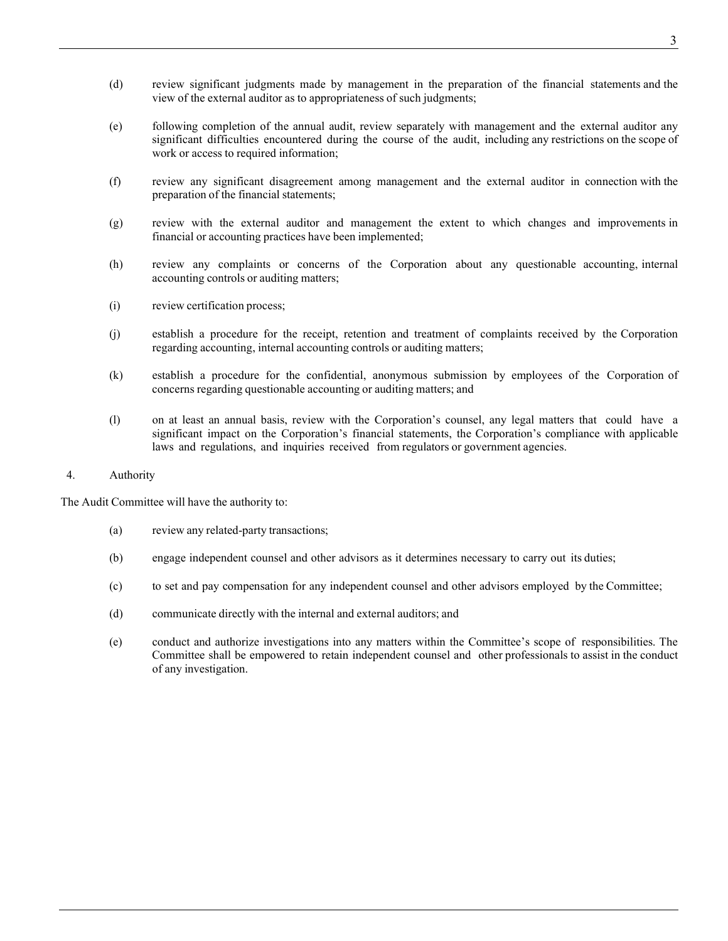- (d) review significant judgments made by management in the preparation of the financial statements and the view of the external auditor as to appropriateness of such judgments;
- (e) following completion of the annual audit, review separately with management and the external auditor any significant difficulties encountered during the course of the audit, including any restrictions on the scope of work or access to required information;
- (f) review any significant disagreement among management and the external auditor in connection with the preparation of the financial statements;
- (g) review with the external auditor and management the extent to which changes and improvements in financial or accounting practices have been implemented;
- (h) review any complaints or concerns of the Corporation about any questionable accounting, internal accounting controls or auditing matters;
- (i) review certification process;
- (j) establish a procedure for the receipt, retention and treatment of complaints received by the Corporation regarding accounting, internal accounting controls or auditing matters;
- (k) establish a procedure for the confidential, anonymous submission by employees of the Corporation of concerns regarding questionable accounting or auditing matters; and
- (l) on at least an annual basis, review with the Corporation's counsel, any legal matters that could have a significant impact on the Corporation's financial statements, the Corporation's compliance with applicable laws and regulations, and inquiries received from regulators or government agencies.
- 4. Authority

The Audit Committee will have the authority to:

- (a) review any related-party transactions;
- (b) engage independent counsel and other advisors as it determines necessary to carry out its duties;
- (c) to set and pay compensation for any independent counsel and other advisors employed by the Committee;
- (d) communicate directly with the internal and external auditors; and
- (e) conduct and authorize investigations into any matters within the Committee's scope of responsibilities. The Committee shall be empowered to retain independent counsel and other professionals to assist in the conduct of any investigation.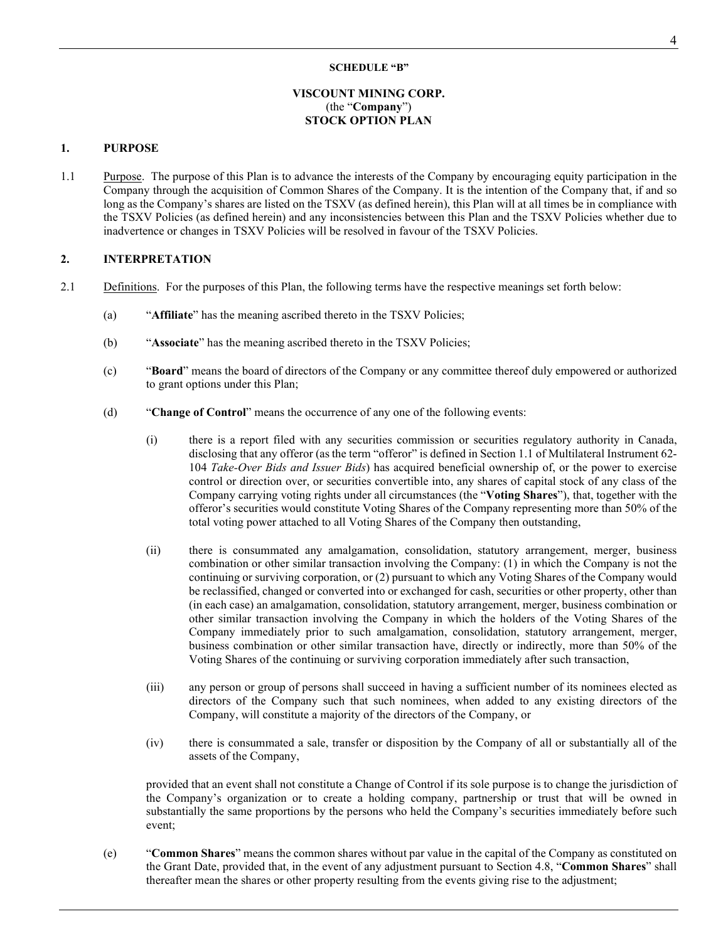#### **SCHEDULE "B"**

# **VISCOUNT MINING CORP.** (the "**Company**") **STOCK OPTION PLAN**

#### **1. PURPOSE**

1.1 Purpose. The purpose of this Plan is to advance the interests of the Company by encouraging equity participation in the Company through the acquisition of Common Shares of the Company. It is the intention of the Company that, if and so long as the Company's shares are listed on the TSXV (as defined herein), this Plan will at all times be in compliance with the TSXV Policies (as defined herein) and any inconsistencies between this Plan and the TSXV Policies whether due to inadvertence or changes in TSXV Policies will be resolved in favour of the TSXV Policies.

# **2. INTERPRETATION**

- 2.1 Definitions. For the purposes of this Plan, the following terms have the respective meanings set forth below:
	- (a) "**Affiliate**" has the meaning ascribed thereto in the TSXV Policies;
	- (b) "**Associate**" has the meaning ascribed thereto in the TSXV Policies;
	- (c) "**Board**" means the board of directors of the Company or any committee thereof duly empowered or authorized to grant options under this Plan;
	- (d) "**Change of Control**" means the occurrence of any one of the following events:
		- (i) there is a report filed with any securities commission or securities regulatory authority in Canada, disclosing that any offeror (as the term "offeror" is defined in Section 1.1 of Multilateral Instrument 62- 104 *Take-Over Bids and Issuer Bids*) has acquired beneficial ownership of, or the power to exercise control or direction over, or securities convertible into, any shares of capital stock of any class of the Company carrying voting rights under all circumstances (the "**Voting Shares**"), that, together with the offeror's securities would constitute Voting Shares of the Company representing more than 50% of the total voting power attached to all Voting Shares of the Company then outstanding,
		- (ii) there is consummated any amalgamation, consolidation, statutory arrangement, merger, business combination or other similar transaction involving the Company: (1) in which the Company is not the continuing or surviving corporation, or (2) pursuant to which any Voting Shares of the Company would be reclassified, changed or converted into or exchanged for cash, securities or other property, other than (in each case) an amalgamation, consolidation, statutory arrangement, merger, business combination or other similar transaction involving the Company in which the holders of the Voting Shares of the Company immediately prior to such amalgamation, consolidation, statutory arrangement, merger, business combination or other similar transaction have, directly or indirectly, more than 50% of the Voting Shares of the continuing or surviving corporation immediately after such transaction,
		- (iii) any person or group of persons shall succeed in having a sufficient number of its nominees elected as directors of the Company such that such nominees, when added to any existing directors of the Company, will constitute a majority of the directors of the Company, or
		- (iv) there is consummated a sale, transfer or disposition by the Company of all or substantially all of the assets of the Company,

provided that an event shall not constitute a Change of Control if its sole purpose is to change the jurisdiction of the Company's organization or to create a holding company, partnership or trust that will be owned in substantially the same proportions by the persons who held the Company's securities immediately before such event;

(e) "**Common Shares**" means the common shares without par value in the capital of the Company as constituted on the Grant Date, provided that, in the event of any adjustment pursuant to Section [4.8,](#page-28-0) "**Common Shares**" shall thereafter mean the shares or other property resulting from the events giving rise to the adjustment;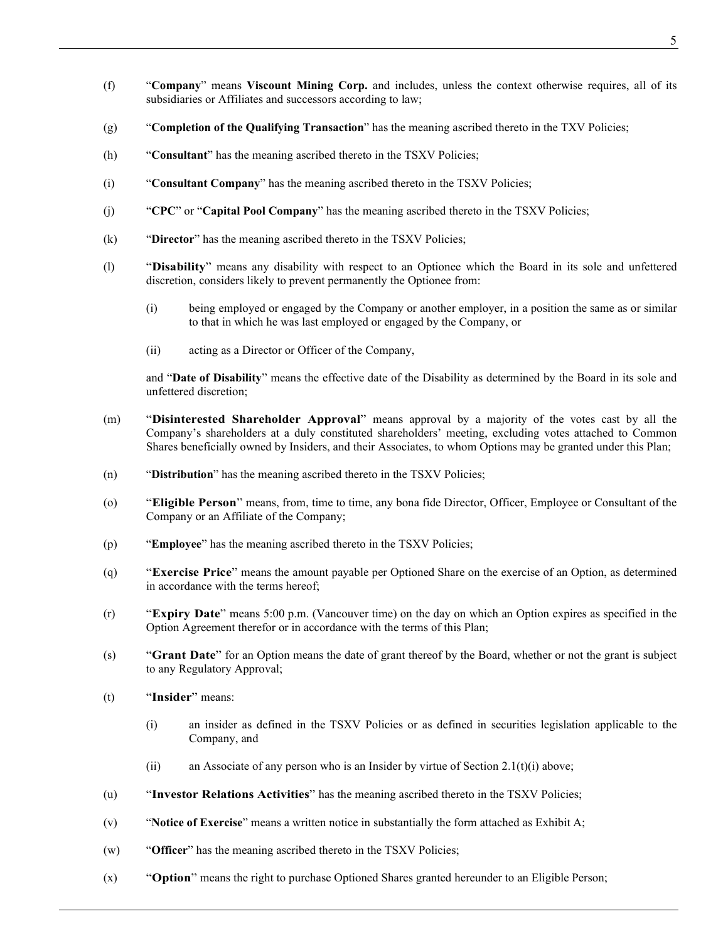- (f) "**Company**" means **Viscount Mining Corp.** and includes, unless the context otherwise requires, all of its subsidiaries or Affiliates and successors according to law;
- (g) "**Completion of the Qualifying Transaction**" has the meaning ascribed thereto in the TXV Policies;
- (h) "**Consultant**" has the meaning ascribed thereto in the TSXV Policies;
- (i) "**Consultant Company**" has the meaning ascribed thereto in the TSXV Policies;
- (j) "**CPC**" or "**Capital Pool Company**" has the meaning ascribed thereto in the TSXV Policies;
- (k) "**Director**" has the meaning ascribed thereto in the TSXV Policies;
- (l) "**Disability**" means any disability with respect to an Optionee which the Board in its sole and unfettered discretion, considers likely to prevent permanently the Optionee from:
	- (i) being employed or engaged by the Company or another employer, in a position the same as or similar to that in which he was last employed or engaged by the Company, or
	- (ii) acting as a Director or Officer of the Company,

and "**Date of Disability**" means the effective date of the Disability as determined by the Board in its sole and unfettered discretion;

- (m) "**Disinterested Shareholder Approval**" means approval by a majority of the votes cast by all the Company's shareholders at a duly constituted shareholders' meeting, excluding votes attached to Common Shares beneficially owned by Insiders, and their Associates, to whom Options may be granted under this Plan;
- (n) "**Distribution**" has the meaning ascribed thereto in the TSXV Policies;
- (o) "**Eligible Person**" means, from, time to time, any bona fide Director, Officer, Employee or Consultant of the Company or an Affiliate of the Company;
- (p) "**Employee**" has the meaning ascribed thereto in the TSXV Policies;
- (q) "**Exercise Price**" means the amount payable per Optioned Share on the exercise of an Option, as determined in accordance with the terms hereof;
- (r) "**Expiry Date**" means 5:00 p.m. (Vancouver time) on the day on which an Option expires as specified in the Option Agreement therefor or in accordance with the terms of this Plan;
- (s) "**Grant Date**" for an Option means the date of grant thereof by the Board, whether or not the grant is subject to any Regulatory Approval;
- <span id="page-23-0"></span>(t) "**Insider**" means:
	- (i) an insider as defined in the TSXV Policies or as defined in securities legislation applicable to the Company, and
	- (ii) an Associate of any person who is an Insider by virtue of Section [2.1\(t\)\(i\)](#page-23-0) above;
- (u) "**Investor Relations Activities**" has the meaning ascribed thereto in the TSXV Policies;
- (v) "**Notice of Exercise**" means a written notice in substantially the form attached as Exhibit A;
- (w) "**Officer**" has the meaning ascribed thereto in the TSXV Policies;
- (x) "**Option**" means the right to purchase Optioned Shares granted hereunder to an Eligible Person;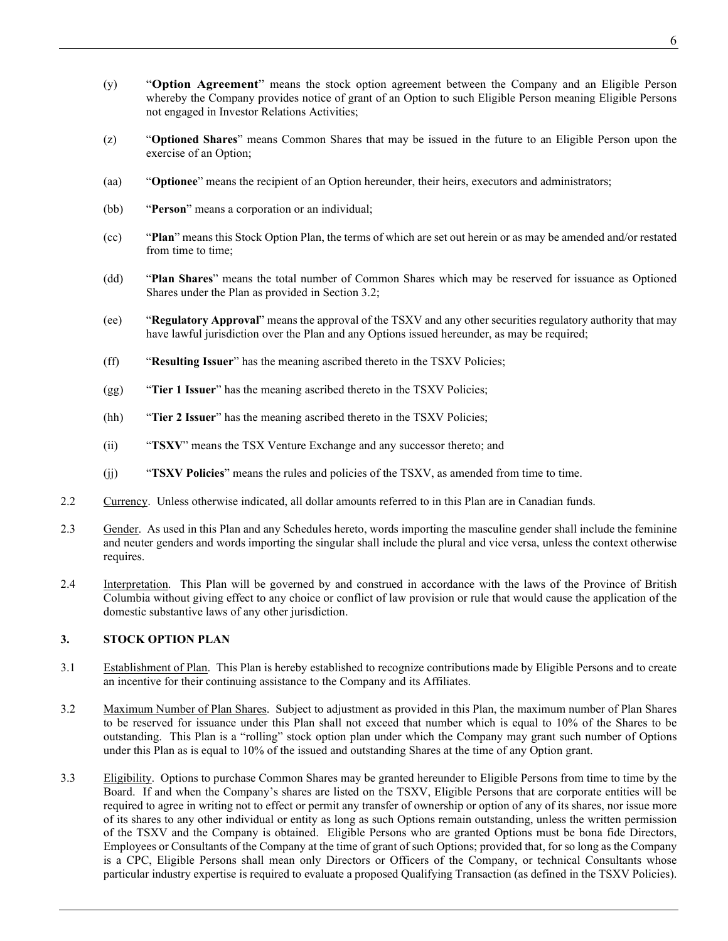- (y) "**Option Agreement**" means the stock option agreement between the Company and an Eligible Person whereby the Company provides notice of grant of an Option to such Eligible Person meaning Eligible Persons not engaged in Investor Relations Activities;
- (z) "**Optioned Shares**" means Common Shares that may be issued in the future to an Eligible Person upon the exercise of an Option;
- (aa) "**Optionee**" means the recipient of an Option hereunder, their heirs, executors and administrators;
- (bb) "**Person**" means a corporation or an individual;
- (cc) "**Plan**" means this Stock Option Plan, the terms of which are set out herein or as may be amended and/or restated from time to time;
- (dd) "**Plan Shares**" means the total number of Common Shares which may be reserved for issuance as Optioned Shares under the Plan as provided in Section [3.2;](#page-24-0)
- (ee) "**Regulatory Approval**" means the approval of the TSXV and any other securities regulatory authority that may have lawful jurisdiction over the Plan and any Options issued hereunder, as may be required;
- (ff) "**Resulting Issuer**" has the meaning ascribed thereto in the TSXV Policies;
- (gg) "**Tier 1 Issuer**" has the meaning ascribed thereto in the TSXV Policies;
- (hh) "**Tier 2 Issuer**" has the meaning ascribed thereto in the TSXV Policies;
- (ii) "**TSXV**" means the TSX Venture Exchange and any successor thereto; and
- (jj) "**TSXV Policies**" means the rules and policies of the TSXV, as amended from time to time.
- 2.2 Currency. Unless otherwise indicated, all dollar amounts referred to in this Plan are in Canadian funds.
- 2.3 Gender. As used in this Plan and any Schedules hereto, words importing the masculine gender shall include the feminine and neuter genders and words importing the singular shall include the plural and vice versa, unless the context otherwise requires.
- 2.4 Interpretation. This Plan will be governed by and construed in accordance with the laws of the Province of British Columbia without giving effect to any choice or conflict of law provision or rule that would cause the application of the domestic substantive laws of any other jurisdiction.

# **3. STOCK OPTION PLAN**

- 3.1 Establishment of Plan. This Plan is hereby established to recognize contributions made by Eligible Persons and to create an incentive for their continuing assistance to the Company and its Affiliates.
- <span id="page-24-0"></span>3.2 Maximum Number of Plan Shares. Subject to adjustment as provided in this Plan, the maximum number of Plan Shares to be reserved for issuance under this Plan shall not exceed that number which is equal to 10% of the Shares to be outstanding. This Plan is a "rolling" stock option plan under which the Company may grant such number of Options under this Plan as is equal to 10% of the issued and outstanding Shares at the time of any Option grant.
- 3.3 Eligibility. Options to purchase Common Shares may be granted hereunder to Eligible Persons from time to time by the Board. If and when the Company's shares are listed on the TSXV, Eligible Persons that are corporate entities will be required to agree in writing not to effect or permit any transfer of ownership or option of any of its shares, nor issue more of its shares to any other individual or entity as long as such Options remain outstanding, unless the written permission of the TSXV and the Company is obtained. Eligible Persons who are granted Options must be bona fide Directors, Employees or Consultants of the Company at the time of grant of such Options; provided that, for so long as the Company is a CPC, Eligible Persons shall mean only Directors or Officers of the Company, or technical Consultants whose particular industry expertise is required to evaluate a proposed Qualifying Transaction (as defined in the TSXV Policies).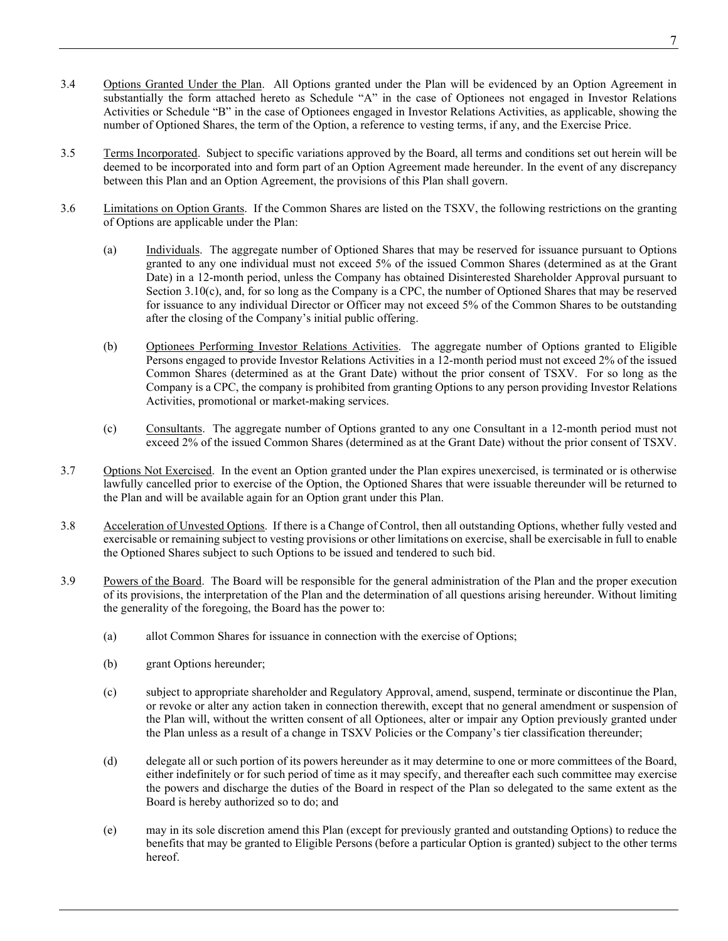- 3.4 Options Granted Under the Plan. All Options granted under the Plan will be evidenced by an Option Agreement in substantially the form attached hereto as Schedule "A" in the case of Optionees not engaged in Investor Relations Activities or Schedule "B" in the case of Optionees engaged in Investor Relations Activities, as applicable, showing the number of Optioned Shares, the term of the Option, a reference to vesting terms, if any, and the Exercise Price.
- 3.5 Terms Incorporated. Subject to specific variations approved by the Board, all terms and conditions set out herein will be deemed to be incorporated into and form part of an Option Agreement made hereunder. In the event of any discrepancy between this Plan and an Option Agreement, the provisions of this Plan shall govern.
- 3.6 Limitations on Option Grants. If the Common Shares are listed on the TSXV, the following restrictions on the granting of Options are applicable under the Plan:
	- (a) Individuals. The aggregate number of Optioned Shares that may be reserved for issuance pursuant to Options granted to any one individual must not exceed 5% of the issued Common Shares (determined as at the Grant Date) in a 12-month period, unless the Company has obtained Disinterested Shareholder Approval pursuant to Section [3.10\(c\),](#page-26-0) and, for so long as the Company is a CPC, the number of Optioned Shares that may be reserved for issuance to any individual Director or Officer may not exceed 5% of the Common Shares to be outstanding after the closing of the Company's initial public offering.
	- (b) Optionees Performing Investor Relations Activities. The aggregate number of Options granted to Eligible Persons engaged to provide Investor Relations Activities in a 12-month period must not exceed 2% of the issued Common Shares (determined as at the Grant Date) without the prior consent of TSXV. For so long as the Company is a CPC, the company is prohibited from granting Options to any person providing Investor Relations Activities, promotional or market-making services.
	- (c) Consultants. The aggregate number of Options granted to any one Consultant in a 12-month period must not exceed 2% of the issued Common Shares (determined as at the Grant Date) without the prior consent of TSXV.
- 3.7 Options Not Exercised. In the event an Option granted under the Plan expires unexercised, is terminated or is otherwise lawfully cancelled prior to exercise of the Option, the Optioned Shares that were issuable thereunder will be returned to the Plan and will be available again for an Option grant under this Plan.
- 3.8 Acceleration of Unvested Options. If there is a Change of Control, then all outstanding Options, whether fully vested and exercisable or remaining subject to vesting provisions or other limitations on exercise, shall be exercisable in full to enable the Optioned Shares subject to such Options to be issued and tendered to such bid.
- 3.9 Powers of the Board. The Board will be responsible for the general administration of the Plan and the proper execution of its provisions, the interpretation of the Plan and the determination of all questions arising hereunder. Without limiting the generality of the foregoing, the Board has the power to:
	- (a) allot Common Shares for issuance in connection with the exercise of Options;
	- (b) grant Options hereunder;
	- (c) subject to appropriate shareholder and Regulatory Approval, amend, suspend, terminate or discontinue the Plan, or revoke or alter any action taken in connection therewith, except that no general amendment or suspension of the Plan will, without the written consent of all Optionees, alter or impair any Option previously granted under the Plan unless as a result of a change in TSXV Policies or the Company's tier classification thereunder;
	- (d) delegate all or such portion of its powers hereunder as it may determine to one or more committees of the Board, either indefinitely or for such period of time as it may specify, and thereafter each such committee may exercise the powers and discharge the duties of the Board in respect of the Plan so delegated to the same extent as the Board is hereby authorized so to do; and
	- (e) may in its sole discretion amend this Plan (except for previously granted and outstanding Options) to reduce the benefits that may be granted to Eligible Persons (before a particular Option is granted) subject to the other terms hereof.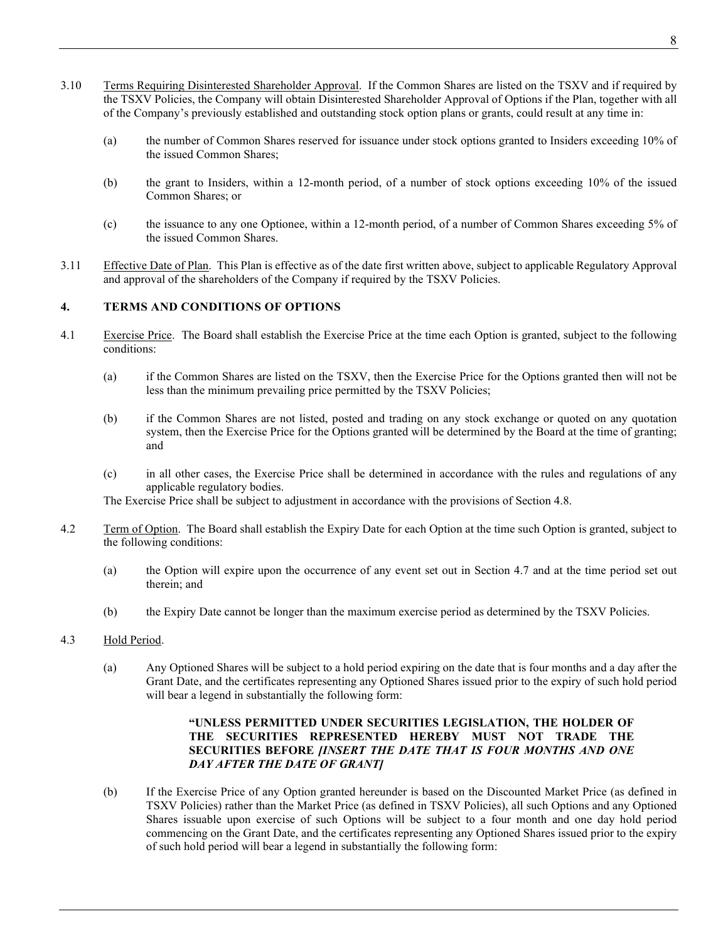- 3.10 Terms Requiring Disinterested Shareholder Approval. If the Common Shares are listed on the TSXV and if required by the TSXV Policies, the Company will obtain Disinterested Shareholder Approval of Options if the Plan, together with all of the Company's previously established and outstanding stock option plans or grants, could result at any time in:
	- (a) the number of Common Shares reserved for issuance under stock options granted to Insiders exceeding 10% of the issued Common Shares;
	- (b) the grant to Insiders, within a 12-month period, of a number of stock options exceeding 10% of the issued Common Shares; or
	- (c) the issuance to any one Optionee, within a 12-month period, of a number of Common Shares exceeding 5% of the issued Common Shares.
- <span id="page-26-0"></span>3.11 Effective Date of Plan. This Plan is effective as of the date first written above, subject to applicable Regulatory Approval and approval of the shareholders of the Company if required by the TSXV Policies.

# <span id="page-26-1"></span>**4. TERMS AND CONDITIONS OF OPTIONS**

- 4.1 Exercise Price. The Board shall establish the Exercise Price at the time each Option is granted, subject to the following conditions:
	- (a) if the Common Shares are listed on the TSXV, then the Exercise Price for the Options granted then will not be less than the minimum prevailing price permitted by the TSXV Policies;
	- (b) if the Common Shares are not listed, posted and trading on any stock exchange or quoted on any quotation system, then the Exercise Price for the Options granted will be determined by the Board at the time of granting; and
	- (c) in all other cases, the Exercise Price shall be determined in accordance with the rules and regulations of any applicable regulatory bodies.

The Exercise Price shall be subject to adjustment in accordance with the provisions of Section [4.8.](#page-28-0)

- 4.2 Term of Option. The Board shall establish the Expiry Date for each Option at the time such Option is granted, subject to the following conditions:
	- (a) the Option will expire upon the occurrence of any event set out in Section [4.7](#page-27-0) and at the time period set out therein; and
	- (b) the Expiry Date cannot be longer than the maximum exercise period as determined by the TSXV Policies.
- 4.3 Hold Period.
	- (a) Any Optioned Shares will be subject to a hold period expiring on the date that is four months and a day after the Grant Date, and the certificates representing any Optioned Shares issued prior to the expiry of such hold period will bear a legend in substantially the following form:

# **"UNLESS PERMITTED UNDER SECURITIES LEGISLATION, THE HOLDER OF THE SECURITIES REPRESENTED HEREBY MUST NOT TRADE THE SECURITIES BEFORE** *[INSERT THE DATE THAT IS FOUR MONTHS AND ONE DAY AFTER THE DATE OF GRANT]*

(b) If the Exercise Price of any Option granted hereunder is based on the Discounted Market Price (as defined in TSXV Policies) rather than the Market Price (as defined in TSXV Policies), all such Options and any Optioned Shares issuable upon exercise of such Options will be subject to a four month and one day hold period commencing on the Grant Date, and the certificates representing any Optioned Shares issued prior to the expiry of such hold period will bear a legend in substantially the following form: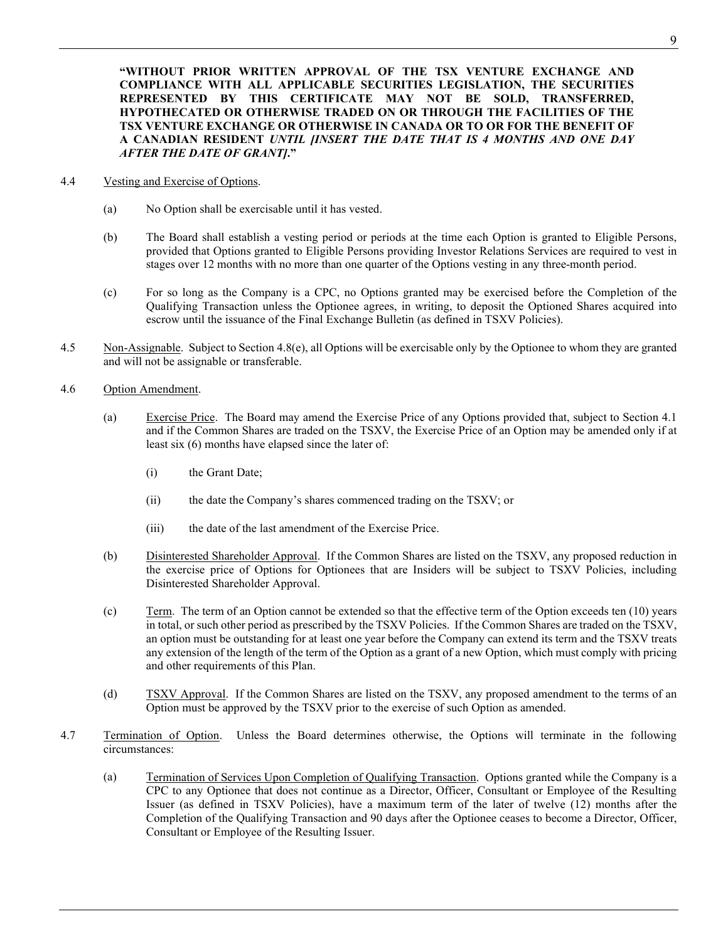**"WITHOUT PRIOR WRITTEN APPROVAL OF THE TSX VENTURE EXCHANGE AND COMPLIANCE WITH ALL APPLICABLE SECURITIES LEGISLATION, THE SECURITIES REPRESENTED BY THIS CERTIFICATE MAY NOT BE SOLD, TRANSFERRED, HYPOTHECATED OR OTHERWISE TRADED ON OR THROUGH THE FACILITIES OF THE TSX VENTURE EXCHANGE OR OTHERWISE IN CANADA OR TO OR FOR THE BENEFIT OF A CANADIAN RESIDENT** *UNTIL [INSERT THE DATE THAT IS 4 MONTHS AND ONE DAY AFTER THE DATE OF GRANT]***."**

- 4.4 Vesting and Exercise of Options.
	- (a) No Option shall be exercisable until it has vested.
	- (b) The Board shall establish a vesting period or periods at the time each Option is granted to Eligible Persons, provided that Options granted to Eligible Persons providing Investor Relations Services are required to vest in stages over 12 months with no more than one quarter of the Options vesting in any three-month period.
	- (c) For so long as the Company is a CPC, no Options granted may be exercised before the Completion of the Qualifying Transaction unless the Optionee agrees, in writing, to deposit the Optioned Shares acquired into escrow until the issuance of the Final Exchange Bulletin (as defined in TSXV Policies).
- 4.5 Non-Assignable. Subject to Section [4.8\(e\),](#page-29-0) all Options will be exercisable only by the Optionee to whom they are granted and will not be assignable or transferable.
- 4.6 Option Amendment.
	- (a) Exercise Price. The Board may amend the Exercise Price of any Options provided that, subject to Section [4.1](#page-26-1) and if the Common Shares are traded on the TSXV, the Exercise Price of an Option may be amended only if at least six (6) months have elapsed since the later of:
		- (i) the Grant Date;
		- (ii) the date the Company's shares commenced trading on the TSXV; or
		- (iii) the date of the last amendment of the Exercise Price.
	- (b) Disinterested Shareholder Approval. If the Common Shares are listed on the TSXV, any proposed reduction in the exercise price of Options for Optionees that are Insiders will be subject to TSXV Policies, including Disinterested Shareholder Approval.
	- (c) Term. The term of an Option cannot be extended so that the effective term of the Option exceeds ten (10) years in total, or such other period as prescribed by the TSXV Policies. If the Common Shares are traded on the TSXV, an option must be outstanding for at least one year before the Company can extend its term and the TSXV treats any extension of the length of the term of the Option as a grant of a new Option, which must comply with pricing and other requirements of this Plan.
	- (d) TSXV Approval. If the Common Shares are listed on the TSXV, any proposed amendment to the terms of an Option must be approved by the TSXV prior to the exercise of such Option as amended.
- <span id="page-27-1"></span><span id="page-27-0"></span>4.7 Termination of Option. Unless the Board determines otherwise, the Options will terminate in the following circumstances:
	- (a) Termination of Services Upon Completion of Qualifying Transaction. Options granted while the Company is a CPC to any Optionee that does not continue as a Director, Officer, Consultant or Employee of the Resulting Issuer (as defined in TSXV Policies), have a maximum term of the later of twelve (12) months after the Completion of the Qualifying Transaction and 90 days after the Optionee ceases to become a Director, Officer, Consultant or Employee of the Resulting Issuer.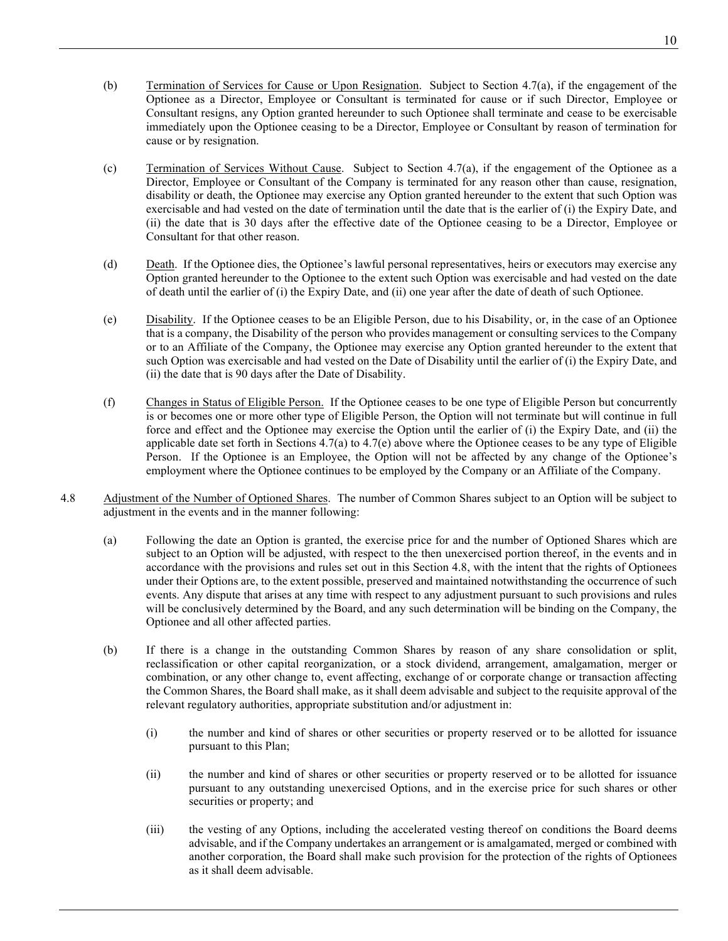(b) Termination of Services for Cause or Upon Resignation. Subject to Section [4.7\(a\),](#page-27-1) if the engagement of the

10

- Optionee as a Director, Employee or Consultant is terminated for cause or if such Director, Employee or Consultant resigns, any Option granted hereunder to such Optionee shall terminate and cease to be exercisable immediately upon the Optionee ceasing to be a Director, Employee or Consultant by reason of termination for cause or by resignation.
- (c) Termination of Services Without Cause. Subject to Section [4.7\(a\),](#page-27-1) if the engagement of the Optionee as a Director, Employee or Consultant of the Company is terminated for any reason other than cause, resignation, disability or death, the Optionee may exercise any Option granted hereunder to the extent that such Option was exercisable and had vested on the date of termination until the date that is the earlier of (i) the Expiry Date, and (ii) the date that is 30 days after the effective date of the Optionee ceasing to be a Director, Employee or Consultant for that other reason.
- (d) Death. If the Optionee dies, the Optionee's lawful personal representatives, heirs or executors may exercise any Option granted hereunder to the Optionee to the extent such Option was exercisable and had vested on the date of death until the earlier of (i) the Expiry Date, and (ii) one year after the date of death of such Optionee.
- <span id="page-28-1"></span>(e) Disability. If the Optionee ceases to be an Eligible Person, due to his Disability, or, in the case of an Optionee that is a company, the Disability of the person who provides management or consulting services to the Company or to an Affiliate of the Company, the Optionee may exercise any Option granted hereunder to the extent that such Option was exercisable and had vested on the Date of Disability until the earlier of (i) the Expiry Date, and (ii) the date that is 90 days after the Date of Disability.
- (f) Changes in Status of Eligible Person. If the Optionee ceases to be one type of Eligible Person but concurrently is or becomes one or more other type of Eligible Person, the Option will not terminate but will continue in full force and effect and the Optionee may exercise the Option until the earlier of (i) the Expiry Date, and (ii) the applicable date set forth in Sections  $4.7(a)$  to  $4.7(e)$  above where the Optionee ceases to be any type of Eligible Person. If the Optionee is an Employee, the Option will not be affected by any change of the Optionee's employment where the Optionee continues to be employed by the Company or an Affiliate of the Company.
- <span id="page-28-3"></span><span id="page-28-2"></span><span id="page-28-0"></span>4.8 Adjustment of the Number of Optioned Shares. The number of Common Shares subject to an Option will be subject to adjustment in the events and in the manner following:
	- (a) Following the date an Option is granted, the exercise price for and the number of Optioned Shares which are subject to an Option will be adjusted, with respect to the then unexercised portion thereof, in the events and in accordance with the provisions and rules set out in this Section [4.8,](#page-28-0) with the intent that the rights of Optionees under their Options are, to the extent possible, preserved and maintained notwithstanding the occurrence of such events. Any dispute that arises at any time with respect to any adjustment pursuant to such provisions and rules will be conclusively determined by the Board, and any such determination will be binding on the Company, the Optionee and all other affected parties.
	- (b) If there is a change in the outstanding Common Shares by reason of any share consolidation or split, reclassification or other capital reorganization, or a stock dividend, arrangement, amalgamation, merger or combination, or any other change to, event affecting, exchange of or corporate change or transaction affecting the Common Shares, the Board shall make, as it shall deem advisable and subject to the requisite approval of the relevant regulatory authorities, appropriate substitution and/or adjustment in:
		- (i) the number and kind of shares or other securities or property reserved or to be allotted for issuance pursuant to this Plan;
		- (ii) the number and kind of shares or other securities or property reserved or to be allotted for issuance pursuant to any outstanding unexercised Options, and in the exercise price for such shares or other securities or property; and
		- (iii) the vesting of any Options, including the accelerated vesting thereof on conditions the Board deems advisable, and if the Company undertakes an arrangement or is amalgamated, merged or combined with another corporation, the Board shall make such provision for the protection of the rights of Optionees as it shall deem advisable.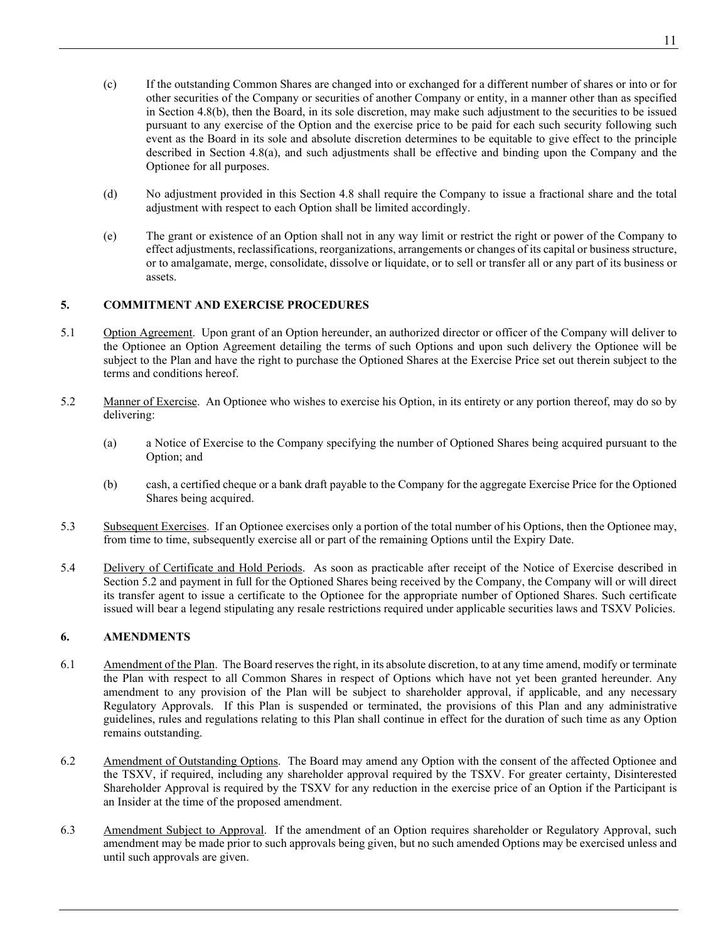- (c) If the outstanding Common Shares are changed into or exchanged for a different number of shares or into or for other securities of the Company or securities of another Company or entity, in a manner other than as specified in Section [4.8\(b\),](#page-28-2) then the Board, in its sole discretion, may make such adjustment to the securities to be issued pursuant to any exercise of the Option and the exercise price to be paid for each such security following such event as the Board in its sole and absolute discretion determines to be equitable to give effect to the principle described in Section [4.8\(a\),](#page-28-3) and such adjustments shall be effective and binding upon the Company and the Optionee for all purposes.
- (d) No adjustment provided in this Section [4.8](#page-28-0) shall require the Company to issue a fractional share and the total adjustment with respect to each Option shall be limited accordingly.
- <span id="page-29-0"></span>(e) The grant or existence of an Option shall not in any way limit or restrict the right or power of the Company to effect adjustments, reclassifications, reorganizations, arrangements or changes of its capital or business structure, or to amalgamate, merge, consolidate, dissolve or liquidate, or to sell or transfer all or any part of its business or assets.

# **5. COMMITMENT AND EXERCISE PROCEDURES**

- 5.1 Option Agreement. Upon grant of an Option hereunder, an authorized director or officer of the Company will deliver to the Optionee an Option Agreement detailing the terms of such Options and upon such delivery the Optionee will be subject to the Plan and have the right to purchase the Optioned Shares at the Exercise Price set out therein subject to the terms and conditions hereof.
- <span id="page-29-1"></span>5.2 Manner of Exercise. An Optionee who wishes to exercise his Option, in its entirety or any portion thereof, may do so by delivering:
	- (a) a Notice of Exercise to the Company specifying the number of Optioned Shares being acquired pursuant to the Option; and
	- (b) cash, a certified cheque or a bank draft payable to the Company for the aggregate Exercise Price for the Optioned Shares being acquired.
- 5.3 Subsequent Exercises. If an Optionee exercises only a portion of the total number of his Options, then the Optionee may, from time to time, subsequently exercise all or part of the remaining Options until the Expiry Date.
- 5.4 Delivery of Certificate and Hold Periods. As soon as practicable after receipt of the Notice of Exercise described in Section [5.2](#page-29-1) and payment in full for the Optioned Shares being received by the Company, the Company will or will direct its transfer agent to issue a certificate to the Optionee for the appropriate number of Optioned Shares. Such certificate issued will bear a legend stipulating any resale restrictions required under applicable securities laws and TSXV Policies.

# **6. AMENDMENTS**

- 6.1 Amendment of the Plan. The Board reserves the right, in its absolute discretion, to at any time amend, modify or terminate the Plan with respect to all Common Shares in respect of Options which have not yet been granted hereunder. Any amendment to any provision of the Plan will be subject to shareholder approval, if applicable, and any necessary Regulatory Approvals. If this Plan is suspended or terminated, the provisions of this Plan and any administrative guidelines, rules and regulations relating to this Plan shall continue in effect for the duration of such time as any Option remains outstanding.
- 6.2 Amendment of Outstanding Options. The Board may amend any Option with the consent of the affected Optionee and the TSXV, if required, including any shareholder approval required by the TSXV. For greater certainty, Disinterested Shareholder Approval is required by the TSXV for any reduction in the exercise price of an Option if the Participant is an Insider at the time of the proposed amendment.
- 6.3 Amendment Subject to Approval. If the amendment of an Option requires shareholder or Regulatory Approval, such amendment may be made prior to such approvals being given, but no such amended Options may be exercised unless and until such approvals are given.